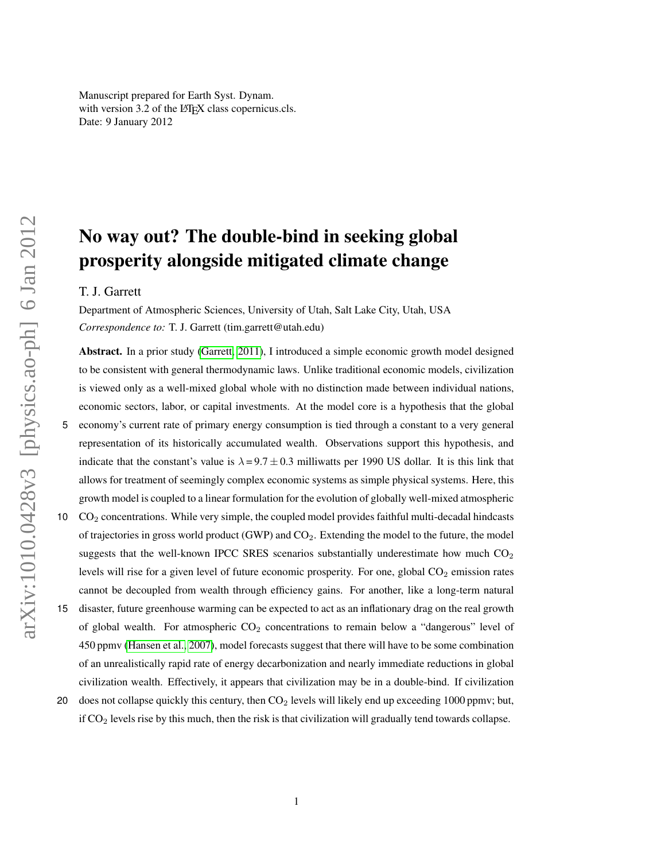Manuscript prepared for Earth Syst. Dynam. with version 3.2 of the LATEX class copernicus.cls. Date: 9 January 2012

# No way out? The double-bind in seeking global prosperity alongside mitigated climate change

# T. J. Garrett

Department of Atmospheric Sciences, University of Utah, Salt Lake City, Utah, USA *Correspondence to:* T. J. Garrett (tim.garrett@utah.edu)

Abstract. In a prior study [\(Garrett, 2011\)](#page-23-0), I introduced a simple economic growth model designed to be consistent with general thermodynamic laws. Unlike traditional economic models, civilization is viewed only as a well-mixed global whole with no distinction made between individual nations, economic sectors, labor, or capital investments. At the model core is a hypothesis that the global 5 economy's current rate of primary energy consumption is tied through a constant to a very general representation of its historically accumulated wealth. Observations support this hypothesis, and indicate that the constant's value is  $\lambda = 9.7 \pm 0.3$  milliwatts per 1990 US dollar. It is this link that allows for treatment of seemingly complex economic systems as simple physical systems. Here, this growth model is coupled to a linear formulation for the evolution of globally well-mixed atmospheric

- 10 CO<sup>2</sup> concentrations. While very simple, the coupled model provides faithful multi-decadal hindcasts of trajectories in gross world product (GWP) and CO2. Extending the model to the future, the model suggests that the well-known IPCC SRES scenarios substantially underestimate how much  $CO<sub>2</sub>$ levels will rise for a given level of future economic prosperity. For one, global  $CO<sub>2</sub>$  emission rates cannot be decoupled from wealth through efficiency gains. For another, like a long-term natural
- 15 disaster, future greenhouse warming can be expected to act as an inflationary drag on the real growth of global wealth. For atmospheric  $CO<sub>2</sub>$  concentrations to remain below a "dangerous" level of 450 ppmv [\(Hansen et al., 2007\)](#page-23-1), model forecasts suggest that there will have to be some combination of an unrealistically rapid rate of energy decarbonization and nearly immediate reductions in global civilization wealth. Effectively, it appears that civilization may be in a double-bind. If civilization
- 20 does not collapse quickly this century, then CO<sub>2</sub> levels will likely end up exceeding 1000 ppmv; but, if  $CO<sub>2</sub>$  levels rise by this much, then the risk is that civilization will gradually tend towards collapse.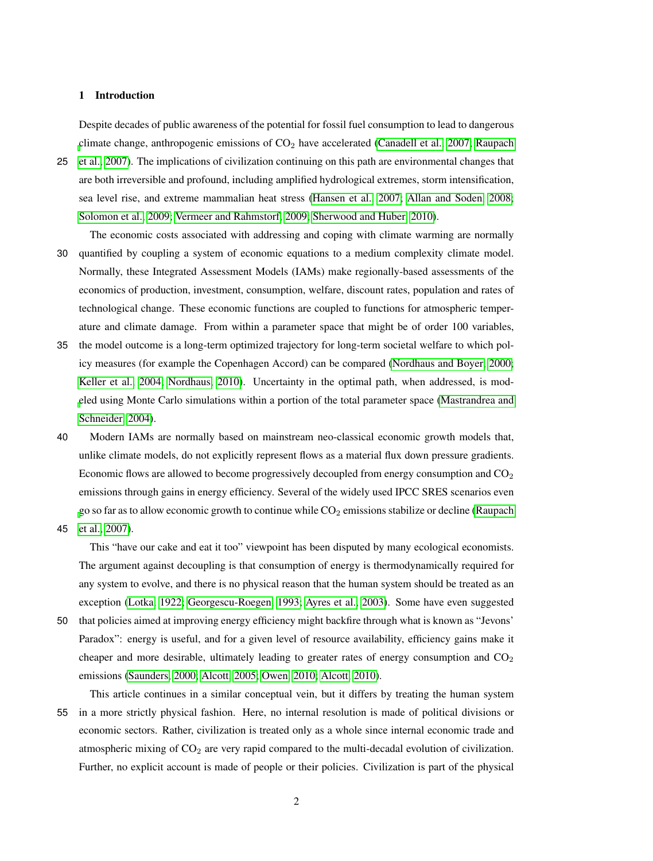# 1 Introduction

Despite decades of public awareness of the potential for fossil fuel consumption to lead to dangerous [c](#page-25-0)limate change, anthropogenic emissions of CO<sub>2</sub> have accelerated [\(Canadell et al., 2007;](#page-23-2) [Raupach](#page-25-0)

- 25 [et al., 2007\)](#page-25-0). The implications of civilization continuing on this path are environmental changes that are both irreversible and profound, including amplified hydrological extremes, storm intensification, sea level rise, and extreme mammalian heat stress [\(Hansen et al., 2007;](#page-23-1) [Allan and Soden, 2008;](#page-23-3) [Solomon et al., 2009;](#page-25-1) [Vermeer and Rahmstorf, 2009;](#page-25-2) [Sherwood and Huber, 2010\)](#page-25-3).
- The economic costs associated with addressing and coping with climate warming are normally 30 quantified by coupling a system of economic equations to a medium complexity climate model. Normally, these Integrated Assessment Models (IAMs) make regionally-based assessments of the economics of production, investment, consumption, welfare, discount rates, population and rates of technological change. These economic functions are coupled to functions for atmospheric temperature and climate damage. From within a parameter space that might be of order 100 variables,
- 35 the model outcome is a long-term optimized trajectory for long-term societal welfare to which policy measures (for example the Copenhagen Accord) can be compared [\(Nordhaus and Boyer, 2000;](#page-25-4) [Keller et al., 2004;](#page-24-0) [Nordhaus, 2010\)](#page-25-5). Uncertainty in the optimal path, when addressed, is mod[e](#page-24-1)led using Monte Carlo simulations within a portion of the total parameter space [\(Mastrandrea and](#page-24-1) [Schneider, 2004\)](#page-24-1).
- 40 Modern IAMs are normally based on mainstream neo-classical economic growth models that, unlike climate models, do not explicitly represent flows as a material flux down pressure gradients. Economic flows are allowed to become progressively decoupled from energy consumption and  $CO<sub>2</sub>$ emissions through gains in energy efficiency. Several of the widely used IPCC SRES scenarios even [g](#page-25-0)o so far as to allow economic growth to continue while  $CO<sub>2</sub>$  emissions stabilize or decline [\(Raupach](#page-25-0)

45 [et al., 2007\)](#page-25-0).

This "have our cake and eat it too" viewpoint has been disputed by many ecological economists. The argument against decoupling is that consumption of energy is thermodynamically required for any system to evolve, and there is no physical reason that the human system should be treated as an exception [\(Lotka, 1922;](#page-24-2) [Georgescu-Roegen, 1993;](#page-23-4) [Ayres et al., 2003\)](#page-23-5). Some have even suggested

50 that policies aimed at improving energy efficiency might backfire through what is known as "Jevons' Paradox": energy is useful, and for a given level of resource availability, efficiency gains make it cheaper and more desirable, ultimately leading to greater rates of energy consumption and  $CO<sub>2</sub>$ emissions [\(Saunders, 2000;](#page-25-6) [Alcott, 2005;](#page-23-6) [Owen, 2010;](#page-25-7) [Alcott, 2010\)](#page-23-7).

This article continues in a similar conceptual vein, but it differs by treating the human system 55 in a more strictly physical fashion. Here, no internal resolution is made of political divisions or economic sectors. Rather, civilization is treated only as a whole since internal economic trade and atmospheric mixing of  $CO<sub>2</sub>$  are very rapid compared to the multi-decadal evolution of civilization. Further, no explicit account is made of people or their policies. Civilization is part of the physical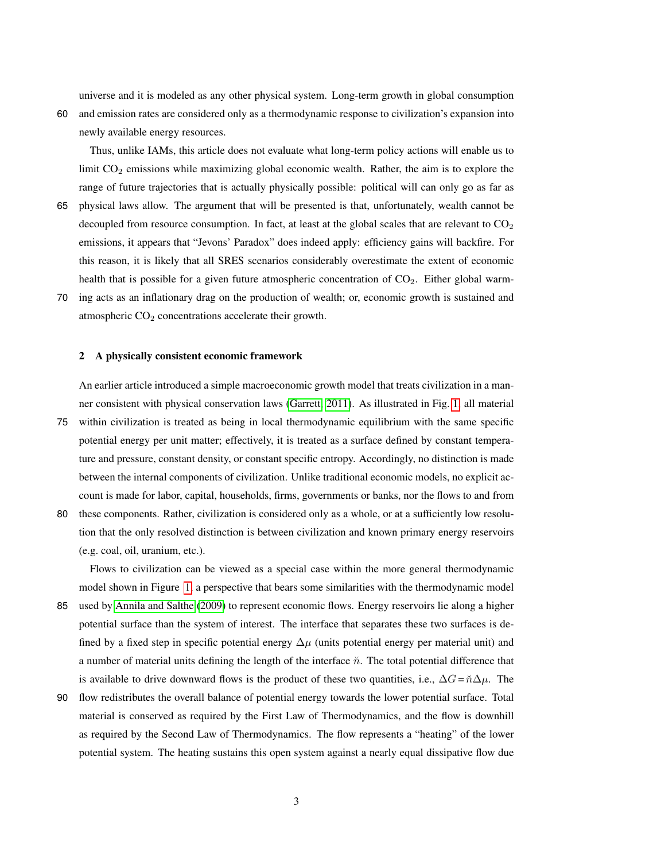universe and it is modeled as any other physical system. Long-term growth in global consumption

60 and emission rates are considered only as a thermodynamic response to civilization's expansion into newly available energy resources.

Thus, unlike IAMs, this article does not evaluate what long-term policy actions will enable us to limit  $CO<sub>2</sub>$  emissions while maximizing global economic wealth. Rather, the aim is to explore the range of future trajectories that is actually physically possible: political will can only go as far as

- 65 physical laws allow. The argument that will be presented is that, unfortunately, wealth cannot be decoupled from resource consumption. In fact, at least at the global scales that are relevant to  $CO<sub>2</sub>$ emissions, it appears that "Jevons' Paradox" does indeed apply: efficiency gains will backfire. For this reason, it is likely that all SRES scenarios considerably overestimate the extent of economic health that is possible for a given future atmospheric concentration of  $CO<sub>2</sub>$ . Either global warm-
- 70 ing acts as an inflationary drag on the production of wealth; or, economic growth is sustained and atmospheric  $CO<sub>2</sub>$  concentrations accelerate their growth.

# 2 A physically consistent economic framework

An earlier article introduced a simple macroeconomic growth model that treats civilization in a manner consistent with physical conservation laws [\(Garrett, 2011\)](#page-23-0). As illustrated in Fig. [1,](#page-28-0) all material

- 75 within civilization is treated as being in local thermodynamic equilibrium with the same specific potential energy per unit matter; effectively, it is treated as a surface defined by constant temperature and pressure, constant density, or constant specific entropy. Accordingly, no distinction is made between the internal components of civilization. Unlike traditional economic models, no explicit account is made for labor, capital, households, firms, governments or banks, nor the flows to and from
- 80 these components. Rather, civilization is considered only as a whole, or at a sufficiently low resolution that the only resolved distinction is between civilization and known primary energy reservoirs (e.g. coal, oil, uranium, etc.).

Flows to civilization can be viewed as a special case within the more general thermodynamic model shown in Figure [1,](#page-28-0) a perspective that bears some similarities with the thermodynamic model

- 85 used by [Annila and Salthe](#page-23-8) [\(2009\)](#page-23-8) to represent economic flows. Energy reservoirs lie along a higher potential surface than the system of interest. The interface that separates these two surfaces is defined by a fixed step in specific potential energy  $\Delta \mu$  (units potential energy per material unit) and a number of material units defining the length of the interface  $\tilde{n}$ . The total potential difference that is available to drive downward flows is the product of these two quantities, i.e.,  $\Delta G = \tilde{n}\Delta\mu$ . The
- 90 flow redistributes the overall balance of potential energy towards the lower potential surface. Total material is conserved as required by the First Law of Thermodynamics, and the flow is downhill as required by the Second Law of Thermodynamics. The flow represents a "heating" of the lower potential system. The heating sustains this open system against a nearly equal dissipative flow due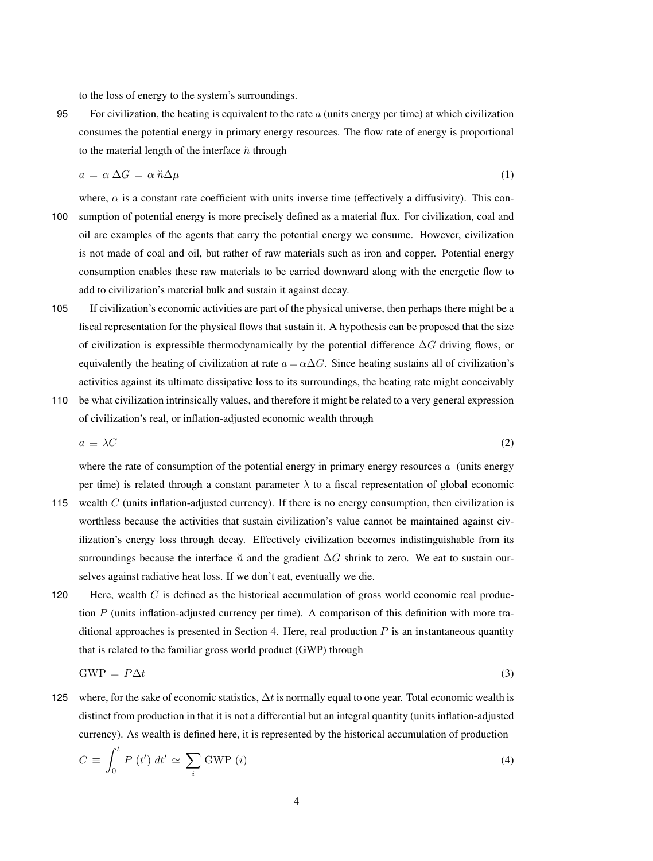to the loss of energy to the system's surroundings.

95 For civilization, the heating is equivalent to the rate  $a$  (units energy per time) at which civilization consumes the potential energy in primary energy resources. The flow rate of energy is proportional to the material length of the interface  $\ddot{n}$  through

<span id="page-3-0"></span>
$$
a = \alpha \Delta G = \alpha \, \breve{n} \Delta \mu \tag{1}
$$

- where,  $\alpha$  is a constant rate coefficient with units inverse time (effectively a diffusivity). This con-100 sumption of potential energy is more precisely defined as a material flux. For civilization, coal and oil are examples of the agents that carry the potential energy we consume. However, civilization is not made of coal and oil, but rather of raw materials such as iron and copper. Potential energy consumption enables these raw materials to be carried downward along with the energetic flow to add to civilization's material bulk and sustain it against decay.
- 105 If civilization's economic activities are part of the physical universe, then perhaps there might be a fiscal representation for the physical flows that sustain it. A hypothesis can be proposed that the size of civilization is expressible thermodynamically by the potential difference  $\Delta G$  driving flows, or equivalently the heating of civilization at rate  $a = \alpha \Delta G$ . Since heating sustains all of civilization's activities against its ultimate dissipative loss to its surroundings, the heating rate might conceivably
- 110 be what civilization intrinsically values, and therefore it might be related to a very general expression of civilization's real, or inflation-adjusted economic wealth through

<span id="page-3-1"></span>
$$
a \equiv \lambda C \tag{2}
$$

where the rate of consumption of the potential energy in primary energy resources  $\alpha$  (units energy per time) is related through a constant parameter  $\lambda$  to a fiscal representation of global economic

- 115 wealth  $C$  (units inflation-adjusted currency). If there is no energy consumption, then civilization is worthless because the activities that sustain civilization's value cannot be maintained against civilization's energy loss through decay. Effectively civilization becomes indistinguishable from its surroundings because the interface  $\check{n}$  and the gradient  $\Delta G$  shrink to zero. We eat to sustain ourselves against radiative heat loss. If we don't eat, eventually we die.
- 120 Here, wealth  $C$  is defined as the historical accumulation of gross world economic real production  $P$  (units inflation-adjusted currency per time). A comparison of this definition with more traditional approaches is presented in Section 4. Here, real production  $P$  is an instantaneous quantity that is related to the familiar gross world product (GWP) through

$$
GWP = P\Delta t \tag{3}
$$

125 where, for the sake of economic statistics,  $\Delta t$  is normally equal to one year. Total economic wealth is distinct from production in that it is not a differential but an integral quantity (units inflation-adjusted currency). As wealth is defined here, it is represented by the historical accumulation of production

<span id="page-3-2"></span>
$$
C \equiv \int_0^t P(t') dt' \simeq \sum_i \text{GWP}(i)
$$
 (4)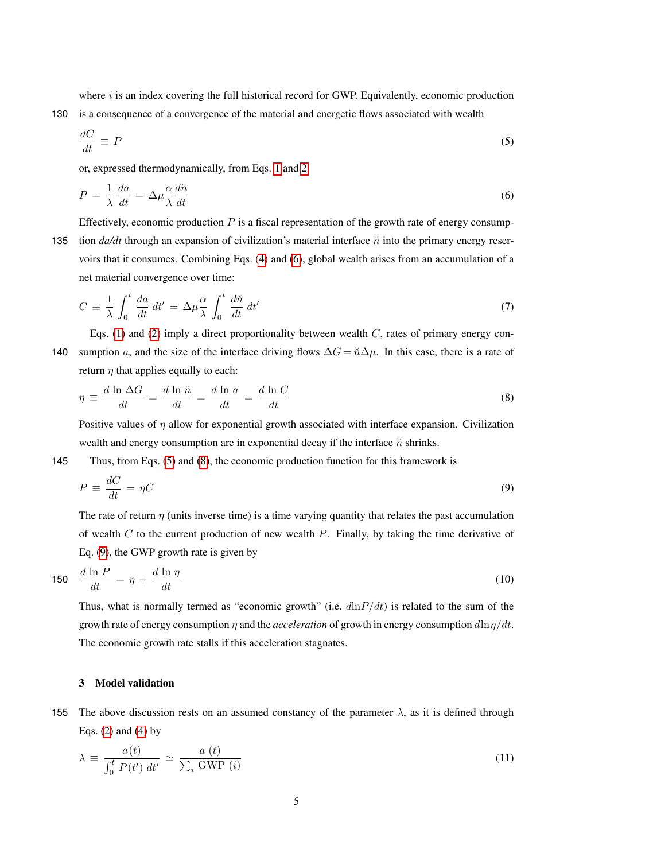where  $i$  is an index covering the full historical record for GWP. Equivalently, economic production 130 is a consequence of a convergence of the material and energetic flows associated with wealth

<span id="page-4-1"></span>
$$
\frac{dC}{dt} \equiv P \tag{5}
$$

or, expressed thermodynamically, from Eqs. [1](#page-3-0) and [2](#page-3-1)

<span id="page-4-0"></span>
$$
P = \frac{1}{\lambda} \frac{da}{dt} = \Delta \mu \frac{\alpha}{\lambda} \frac{d\breve{n}}{dt}
$$
 (6)

Effectively, economic production  $P$  is a fiscal representation of the growth rate of energy consump-135 tion  $da/dt$  through an expansion of civilization's material interface  $\check{n}$  into the primary energy reservoirs that it consumes. Combining Eqs. [\(4\)](#page-3-2) and [\(6\)](#page-4-0), global wealth arises from an accumulation of a net material convergence over time:

$$
C = \frac{1}{\lambda} \int_0^t \frac{da}{dt} dt' = \Delta \mu \frac{\alpha}{\lambda} \int_0^t \frac{d\tilde{n}}{dt} dt'
$$
 (7)

Eqs. [\(1\)](#page-3-0) and [\(2\)](#page-3-1) imply a direct proportionality between wealth  $C$ , rates of primary energy con-140 sumption a, and the size of the interface driving flows  $\Delta G = \tilde{n}\Delta\mu$ . In this case, there is a rate of return  $\eta$  that applies equally to each:

<span id="page-4-2"></span>
$$
\eta \equiv \frac{d \ln \Delta G}{dt} = \frac{d \ln \breve{n}}{dt} = \frac{d \ln a}{dt} = \frac{d \ln C}{dt} \tag{8}
$$

Positive values of  $\eta$  allow for exponential growth associated with interface expansion. Civilization wealth and energy consumption are in exponential decay if the interface  $\check{n}$  shrinks.

145 Thus, from Eqs. [\(5\)](#page-4-1) and [\(8\)](#page-4-2), the economic production function for this framework is

<span id="page-4-3"></span>
$$
P \equiv \frac{dC}{dt} = \eta C \tag{9}
$$

The rate of return  $\eta$  (units inverse time) is a time varying quantity that relates the past accumulation of wealth  $C$  to the current production of new wealth  $P$ . Finally, by taking the time derivative of Eq. [\(9\)](#page-4-3), the GWP growth rate is given by

<span id="page-4-5"></span>
$$
150 \quad \frac{d \ln P}{dt} = \eta + \frac{d \ln \eta}{dt} \tag{10}
$$

Thus, what is normally termed as "economic growth" (i.e.  $d\ln P/dt$ ) is related to the sum of the growth rate of energy consumption  $\eta$  and the *acceleration* of growth in energy consumption  $d\ln \eta/dt$ . The economic growth rate stalls if this acceleration stagnates.

# 3 Model validation

155 The above discussion rests on an assumed constancy of the parameter  $\lambda$ , as it is defined through Eqs.  $(2)$  and  $(4)$  by

<span id="page-4-4"></span>
$$
\lambda \equiv \frac{a(t)}{\int_0^t P(t') \, dt'} \simeq \frac{a(t)}{\sum_i \text{ GWP}(i)}\tag{11}
$$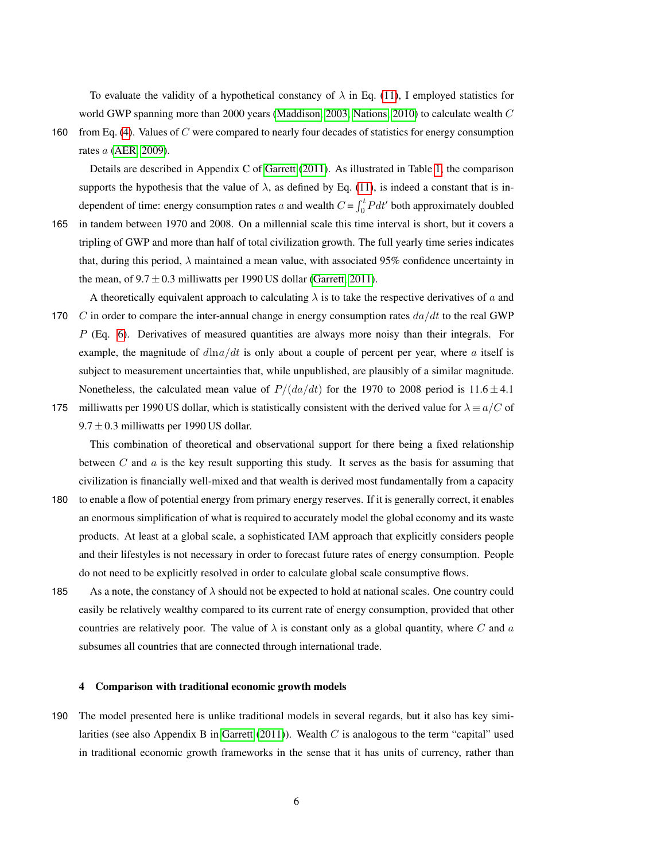To evaluate the validity of a hypothetical constancy of  $\lambda$  in Eq. [\(11\)](#page-4-4), I employed statistics for world GWP spanning more than 2000 years [\(Maddison, 2003;](#page-24-3) [Nations, 2010\)](#page-25-8) to calculate wealth C

160 from Eq. [\(4\)](#page-3-2). Values of C were compared to nearly four decades of statistics for energy consumption rates a [\(AER, 2009\)](#page-23-9).

Details are described in Appendix C of [Garrett](#page-23-0) [\(2011\)](#page-23-0). As illustrated in Table [1,](#page-26-0) the comparison supports the hypothesis that the value of  $\lambda$ , as defined by Eq. [\(11\)](#page-4-4), is indeed a constant that is independent of time: energy consumption rates a and wealth  $C = \int_0^t P dt'$  both approximately doubled

- 165 in tandem between 1970 and 2008. On a millennial scale this time interval is short, but it covers a tripling of GWP and more than half of total civilization growth. The full yearly time series indicates that, during this period,  $\lambda$  maintained a mean value, with associated 95% confidence uncertainty in the mean, of  $9.7 \pm 0.3$  milliwatts per 1990 US dollar [\(Garrett, 2011\)](#page-23-0).
- A theoretically equivalent approach to calculating  $\lambda$  is to take the respective derivatives of a and 170 C in order to compare the inter-annual change in energy consumption rates  $da/dt$  to the real GWP  $P$  (Eq. [6\)](#page-4-0). Derivatives of measured quantities are always more noisy than their integrals. For example, the magnitude of  $d\ln a/dt$  is only about a couple of percent per year, where a itself is subject to measurement uncertainties that, while unpublished, are plausibly of a similar magnitude. Nonetheless, the calculated mean value of  $P/(da/dt)$  for the 1970 to 2008 period is 11.6  $\pm$  4.1
- 175 milliwatts per 1990 US dollar, which is statistically consistent with the derived value for  $\lambda \equiv a/C$  of  $9.7 \pm 0.3$  milliwatts per 1990 US dollar.

This combination of theoretical and observational support for there being a fixed relationship between  $C$  and  $a$  is the key result supporting this study. It serves as the basis for assuming that civilization is financially well-mixed and that wealth is derived most fundamentally from a capacity

- 180 to enable a flow of potential energy from primary energy reserves. If it is generally correct, it enables an enormous simplification of what is required to accurately model the global economy and its waste products. At least at a global scale, a sophisticated IAM approach that explicitly considers people and their lifestyles is not necessary in order to forecast future rates of energy consumption. People do not need to be explicitly resolved in order to calculate global scale consumptive flows.
- 185 As a note, the constancy of  $\lambda$  should not be expected to hold at national scales. One country could easily be relatively wealthy compared to its current rate of energy consumption, provided that other countries are relatively poor. The value of  $\lambda$  is constant only as a global quantity, where C and a subsumes all countries that are connected through international trade.

## 4 Comparison with traditional economic growth models

190 The model presented here is unlike traditional models in several regards, but it also has key simi-larities (see also Appendix B in [Garrett](#page-23-0)  $(2011)$ ). Wealth C is analogous to the term "capital" used in traditional economic growth frameworks in the sense that it has units of currency, rather than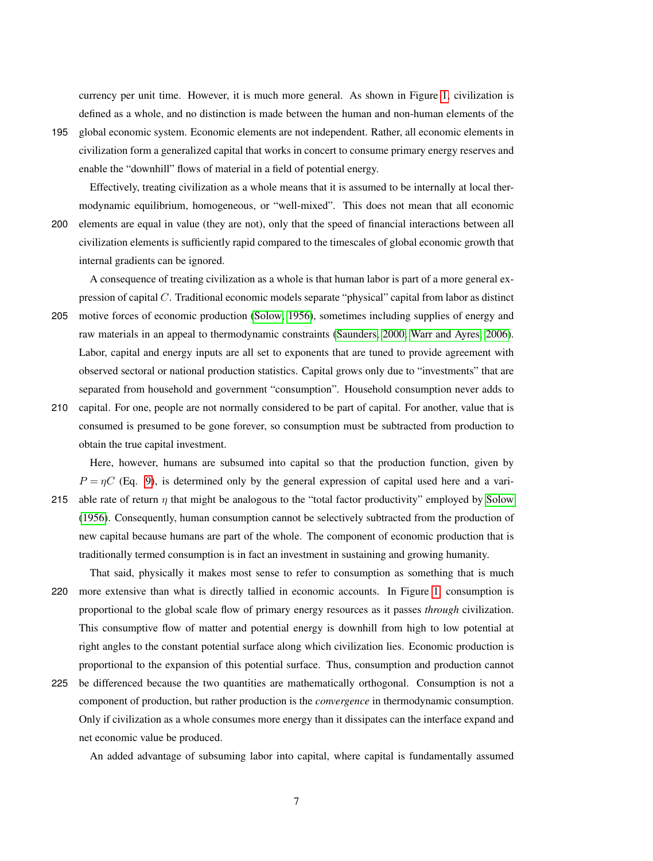currency per unit time. However, it is much more general. As shown in Figure [1,](#page-28-0) civilization is defined as a whole, and no distinction is made between the human and non-human elements of the

195 global economic system. Economic elements are not independent. Rather, all economic elements in civilization form a generalized capital that works in concert to consume primary energy reserves and enable the "downhill" flows of material in a field of potential energy.

Effectively, treating civilization as a whole means that it is assumed to be internally at local thermodynamic equilibrium, homogeneous, or "well-mixed". This does not mean that all economic 200 elements are equal in value (they are not), only that the speed of financial interactions between all civilization elements is sufficiently rapid compared to the timescales of global economic growth that internal gradients can be ignored.

A consequence of treating civilization as a whole is that human labor is part of a more general expression of capital C. Traditional economic models separate "physical" capital from labor as distinct

- 205 motive forces of economic production [\(Solow, 1956\)](#page-25-9), sometimes including supplies of energy and raw materials in an appeal to thermodynamic constraints [\(Saunders, 2000;](#page-25-6) [Warr and Ayres, 2006\)](#page-25-10). Labor, capital and energy inputs are all set to exponents that are tuned to provide agreement with observed sectoral or national production statistics. Capital grows only due to "investments" that are separated from household and government "consumption". Household consumption never adds to
- 210 capital. For one, people are not normally considered to be part of capital. For another, value that is consumed is presumed to be gone forever, so consumption must be subtracted from production to obtain the true capital investment.

Here, however, humans are subsumed into capital so that the production function, given by  $P = \eta C$  (Eq. [9\)](#page-4-3), is determined only by the general expression of capital used here and a vari-215 able rate of return  $\eta$  that might be analogous to the "total factor productivity" employed by [Solow](#page-25-9) [\(1956\)](#page-25-9). Consequently, human consumption cannot be selectively subtracted from the production of new capital because humans are part of the whole. The component of economic production that is

traditionally termed consumption is in fact an investment in sustaining and growing humanity.

- That said, physically it makes most sense to refer to consumption as something that is much 220 more extensive than what is directly tallied in economic accounts. In Figure [1,](#page-28-0) consumption is proportional to the global scale flow of primary energy resources as it passes *through* civilization. This consumptive flow of matter and potential energy is downhill from high to low potential at right angles to the constant potential surface along which civilization lies. Economic production is proportional to the expansion of this potential surface. Thus, consumption and production cannot
- 225 be differenced because the two quantities are mathematically orthogonal. Consumption is not a component of production, but rather production is the *convergence* in thermodynamic consumption. Only if civilization as a whole consumes more energy than it dissipates can the interface expand and net economic value be produced.

An added advantage of subsuming labor into capital, where capital is fundamentally assumed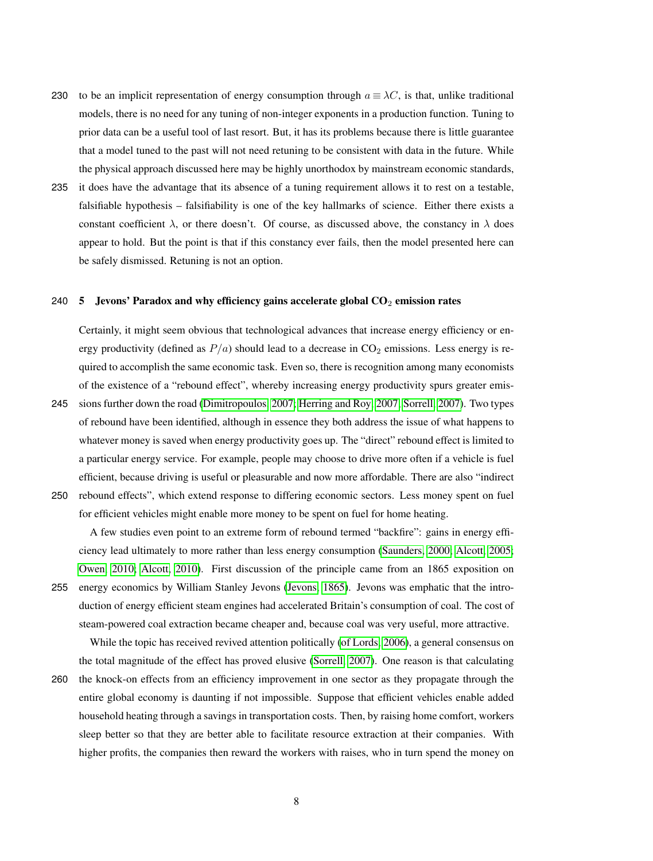- 230 to be an implicit representation of energy consumption through  $a \equiv \lambda C$ , is that, unlike traditional models, there is no need for any tuning of non-integer exponents in a production function. Tuning to prior data can be a useful tool of last resort. But, it has its problems because there is little guarantee that a model tuned to the past will not need retuning to be consistent with data in the future. While the physical approach discussed here may be highly unorthodox by mainstream economic standards,
- 235 it does have the advantage that its absence of a tuning requirement allows it to rest on a testable, falsifiable hypothesis – falsifiability is one of the key hallmarks of science. Either there exists a constant coefficient  $\lambda$ , or there doesn't. Of course, as discussed above, the constancy in  $\lambda$  does appear to hold. But the point is that if this constancy ever fails, then the model presented here can be safely dismissed. Retuning is not an option.

#### 240  $\,$  5 Jevons' Paradox and why efficiency gains accelerate global CO<sub>2</sub> emission rates

Certainly, it might seem obvious that technological advances that increase energy efficiency or energy productivity (defined as  $P/a$ ) should lead to a decrease in  $CO<sub>2</sub>$  emissions. Less energy is required to accomplish the same economic task. Even so, there is recognition among many economists of the existence of a "rebound effect", whereby increasing energy productivity spurs greater emis-

245 sions further down the road [\(Dimitropoulos, 2007;](#page-23-10) [Herring and Roy, 2007;](#page-24-4) [Sorrell, 2007\)](#page-25-11). Two types of rebound have been identified, although in essence they both address the issue of what happens to whatever money is saved when energy productivity goes up. The "direct" rebound effect is limited to a particular energy service. For example, people may choose to drive more often if a vehicle is fuel efficient, because driving is useful or pleasurable and now more affordable. There are also "indirect 250 rebound effects", which extend response to differing economic sectors. Less money spent on fuel

for efficient vehicles might enable more money to be spent on fuel for home heating.

A few studies even point to an extreme form of rebound termed "backfire": gains in energy efficiency lead ultimately to more rather than less energy consumption [\(Saunders, 2000;](#page-25-6) [Alcott, 2005;](#page-23-6) [Owen, 2010;](#page-25-7) [Alcott, 2010\)](#page-23-7). First discussion of the principle came from an 1865 exposition on 255 energy economics by William Stanley Jevons [\(Jevons, 1865\)](#page-24-5). Jevons was emphatic that the introduction of energy efficient steam engines had accelerated Britain's consumption of coal. The cost of steam-powered coal extraction became cheaper and, because coal was very useful, more attractive.

While the topic has received revived attention politically [\(of Lords, 2006\)](#page-25-12), a general consensus on the total magnitude of the effect has proved elusive [\(Sorrell, 2007\)](#page-25-11). One reason is that calculating

260 the knock-on effects from an efficiency improvement in one sector as they propagate through the entire global economy is daunting if not impossible. Suppose that efficient vehicles enable added household heating through a savings in transportation costs. Then, by raising home comfort, workers sleep better so that they are better able to facilitate resource extraction at their companies. With higher profits, the companies then reward the workers with raises, who in turn spend the money on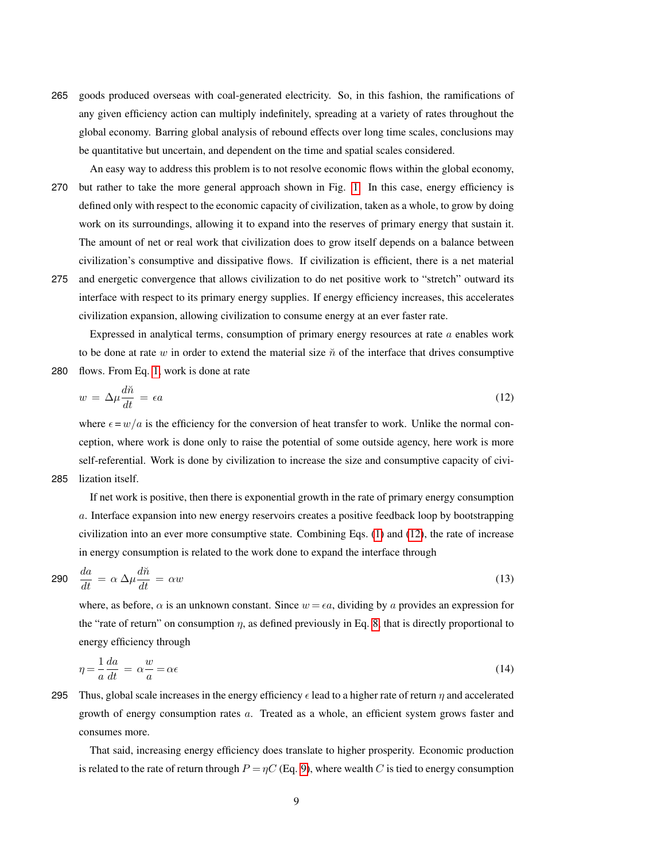- 265 goods produced overseas with coal-generated electricity. So, in this fashion, the ramifications of any given efficiency action can multiply indefinitely, spreading at a variety of rates throughout the global economy. Barring global analysis of rebound effects over long time scales, conclusions may be quantitative but uncertain, and dependent on the time and spatial scales considered.
- An easy way to address this problem is to not resolve economic flows within the global economy, 270 but rather to take the more general approach shown in Fig. [1.](#page-28-0) In this case, energy efficiency is defined only with respect to the economic capacity of civilization, taken as a whole, to grow by doing work on its surroundings, allowing it to expand into the reserves of primary energy that sustain it. The amount of net or real work that civilization does to grow itself depends on a balance between civilization's consumptive and dissipative flows. If civilization is efficient, there is a net material
- 275 and energetic convergence that allows civilization to do net positive work to "stretch" outward its interface with respect to its primary energy supplies. If energy efficiency increases, this accelerates civilization expansion, allowing civilization to consume energy at an ever faster rate.

Expressed in analytical terms, consumption of primary energy resources at rate a enables work to be done at rate w in order to extend the material size  $\tilde{n}$  of the interface that drives consumptive 280 flows. From Eq. [1,](#page-3-0) work is done at rate

<span id="page-8-0"></span>
$$
w = \Delta \mu \frac{d\tilde{n}}{dt} = \epsilon a \tag{12}
$$

where  $\epsilon = w/a$  is the efficiency for the conversion of heat transfer to work. Unlike the normal conception, where work is done only to raise the potential of some outside agency, here work is more self-referential. Work is done by civilization to increase the size and consumptive capacity of civi-285 lization itself.

If net work is positive, then there is exponential growth in the rate of primary energy consumption a. Interface expansion into new energy reservoirs creates a positive feedback loop by bootstrapping civilization into an ever more consumptive state. Combining Eqs. [\(1\)](#page-3-0) and [\(12\)](#page-8-0), the rate of increase in energy consumption is related to the work done to expand the interface through

<span id="page-8-2"></span>
$$
290 \quad \frac{da}{dt} = \alpha \Delta \mu \frac{d\tilde{n}}{dt} = \alpha w \tag{13}
$$

where, as before,  $\alpha$  is an unknown constant. Since  $w = \epsilon a$ , dividing by a provides an expression for the "rate of return" on consumption  $\eta$ , as defined previously in Eq. [8,](#page-4-2) that is directly proportional to energy efficiency through

<span id="page-8-1"></span>
$$
\eta = -\frac{1}{a}\frac{da}{dt} = \alpha \frac{w}{a} = \alpha \epsilon \tag{14}
$$

295 Thus, global scale increases in the energy efficiency  $\epsilon$  lead to a higher rate of return  $\eta$  and accelerated growth of energy consumption rates a. Treated as a whole, an efficient system grows faster and consumes more.

That said, increasing energy efficiency does translate to higher prosperity. Economic production is related to the rate of return through  $P = \eta C$  (Eq. [9\)](#page-4-3), where wealth C is tied to energy consumption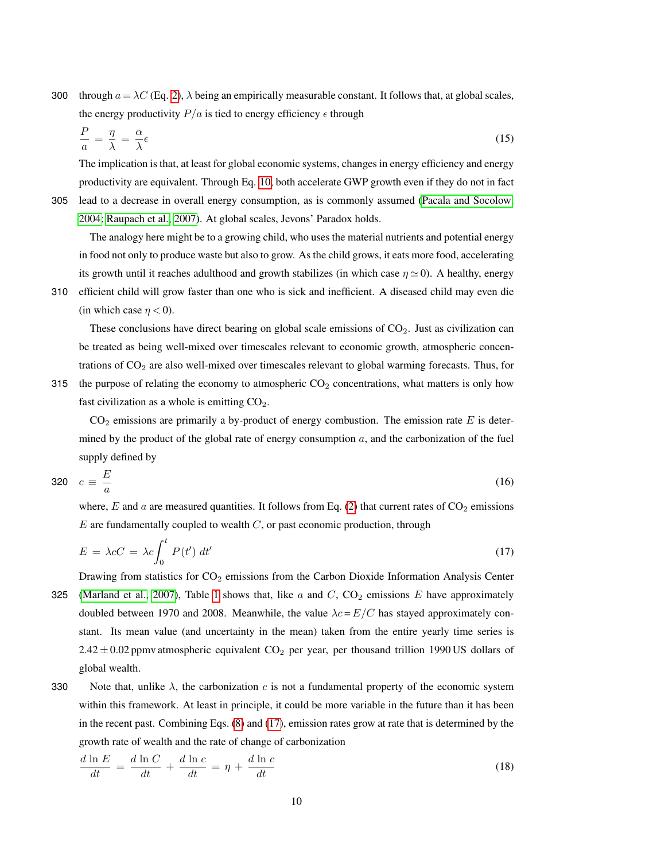300 through  $a = \lambda C$  (Eq. [2\)](#page-3-1),  $\lambda$  being an empirically measurable constant. It follows that, at global scales, the energy productivity  $P/a$  is tied to energy efficiency  $\epsilon$  through

<span id="page-9-2"></span>
$$
\frac{P}{a} = \frac{\eta}{\lambda} = \frac{\alpha}{\lambda} \epsilon \tag{15}
$$

The implication is that, at least for global economic systems, changes in energy efficiency and energy productivity are equivalent. Through Eq. [10,](#page-4-5) both accelerate GWP growth even if they do not in fact

305 lead to a decrease in overall energy consumption, as is commonly assumed [\(Pacala and Socolow,](#page-25-13) [2004;](#page-25-13) [Raupach et al., 2007\)](#page-25-0). At global scales, Jevons' Paradox holds.

The analogy here might be to a growing child, who uses the material nutrients and potential energy in food not only to produce waste but also to grow. As the child grows, it eats more food, accelerating its growth until it reaches adulthood and growth stabilizes (in which case  $\eta \simeq 0$ ). A healthy, energy

310 efficient child will grow faster than one who is sick and inefficient. A diseased child may even die (in which case  $\eta$  < 0).

These conclusions have direct bearing on global scale emissions of  $CO<sub>2</sub>$ . Just as civilization can be treated as being well-mixed over timescales relevant to economic growth, atmospheric concentrations of  $CO<sub>2</sub>$  are also well-mixed over timescales relevant to global warming forecasts. Thus, for

315 the purpose of relating the economy to atmospheric  $CO<sub>2</sub>$  concentrations, what matters is only how fast civilization as a whole is emitting  $CO<sub>2</sub>$ .

 $CO<sub>2</sub>$  emissions are primarily a by-product of energy combustion. The emission rate E is determined by the product of the global rate of energy consumption  $a$ , and the carbonization of the fuel supply defined by

$$
320 \quad c \equiv \frac{E}{a} \tag{16}
$$

where, E and a are measured quantities. It follows from Eq. [\(2\)](#page-3-1) that current rates of  $CO<sub>2</sub>$  emissions  $E$  are fundamentally coupled to wealth  $C$ , or past economic production, through

<span id="page-9-0"></span>
$$
E = \lambda c C = \lambda c \int_0^t P(t') dt'
$$
\n(17)

Drawing from statistics for  $CO<sub>2</sub>$  emissions from the Carbon Dioxide Information Analysis Center 325 [\(Marland et al., 2007\)](#page-24-6), Table [1](#page-26-0) shows that, like a and C,  $CO_2$  emissions E have approximately doubled between 1970 and 2008. Meanwhile, the value  $\lambda c = E/C$  has stayed approximately constant. Its mean value (and uncertainty in the mean) taken from the entire yearly time series is  $2.42 \pm 0.02$  ppmv atmospheric equivalent CO<sub>2</sub> per year, per thousand trillion 1990 US dollars of global wealth.

330 Note that, unlike  $\lambda$ , the carbonization c is not a fundamental property of the economic system within this framework. At least in principle, it could be more variable in the future than it has been in the recent past. Combining Eqs. [\(8\)](#page-4-2) and [\(17\)](#page-9-0), emission rates grow at rate that is determined by the growth rate of wealth and the rate of change of carbonization

<span id="page-9-1"></span>
$$
\frac{d \ln E}{dt} = \frac{d \ln C}{dt} + \frac{d \ln c}{dt} = \eta + \frac{d \ln c}{dt} \tag{18}
$$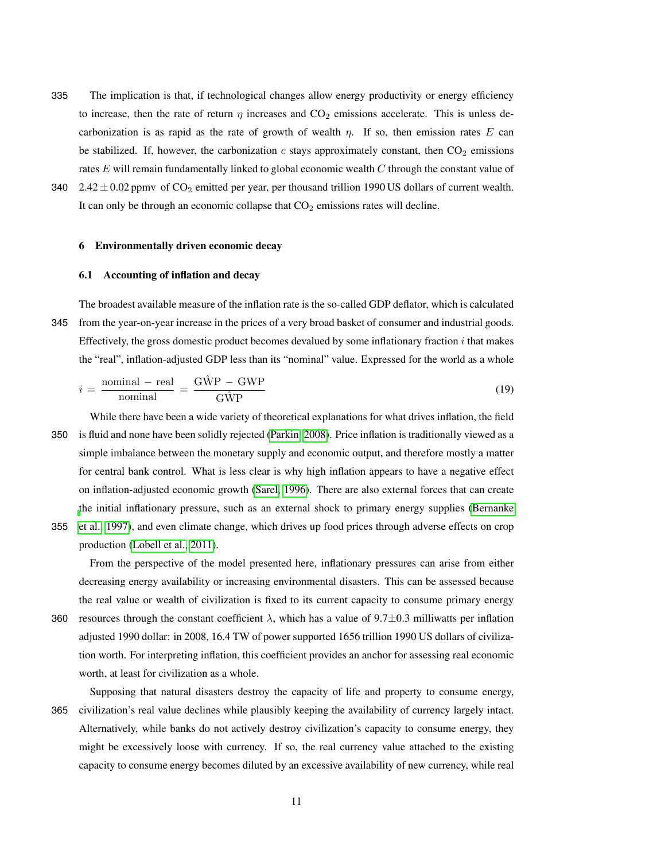- 335 The implication is that, if technological changes allow energy productivity or energy efficiency to increase, then the rate of return  $\eta$  increases and  $CO<sub>2</sub>$  emissions accelerate. This is unless decarbonization is as rapid as the rate of growth of wealth  $\eta$ . If so, then emission rates E can be stabilized. If, however, the carbonization  $c$  stays approximately constant, then  $CO<sub>2</sub>$  emissions rates  $E$  will remain fundamentally linked to global economic wealth  $C$  through the constant value of
- 340 2.42  $\pm$  0.02 ppmv of CO<sub>2</sub> emitted per year, per thousand trillion 1990 US dollars of current wealth. It can only be through an economic collapse that  $CO<sub>2</sub>$  emissions rates will decline.

#### 6 Environmentally driven economic decay

# <span id="page-10-1"></span>6.1 Accounting of inflation and decay

The broadest available measure of the inflation rate is the so-called GDP deflator, which is calculated 345 from the year-on-year increase in the prices of a very broad basket of consumer and industrial goods. Effectively, the gross domestic product becomes devalued by some inflationary fraction  $i$  that makes the "real", inflation-adjusted GDP less than its "nominal" value. Expressed for the world as a whole

<span id="page-10-0"></span>
$$
i = \frac{\text{nominal} - \text{real}}{\text{nominal}} = \frac{\text{G\hat{W}P} - \text{GWP}}{\text{G\hat{W}P}}\tag{19}
$$

While there have been a wide variety of theoretical explanations for what drives inflation, the field 350 is fluid and none have been solidly rejected [\(Parkin, 2008\)](#page-25-14). Price inflation is traditionally viewed as a simple imbalance between the monetary supply and economic output, and therefore mostly a matter for central bank control. What is less clear is why high inflation appears to have a negative effect on inflation-adjusted economic growth [\(Sarel, 1996\)](#page-25-15). There are also external forces that can create [t](#page-23-11)he initial inflationary pressure, such as an external shock to primary energy supplies [\(Bernanke](#page-23-11)

355 [et al., 1997\)](#page-23-11), and even climate change, which drives up food prices through adverse effects on crop production [\(Lobell et al., 2011\)](#page-24-7).

From the perspective of the model presented here, inflationary pressures can arise from either decreasing energy availability or increasing environmental disasters. This can be assessed because the real value or wealth of civilization is fixed to its current capacity to consume primary energy

360 resources through the constant coefficient  $\lambda$ , which has a value of 9.7 $\pm$ 0.3 milliwatts per inflation adjusted 1990 dollar: in 2008, 16.4 TW of power supported 1656 trillion 1990 US dollars of civilization worth. For interpreting inflation, this coefficient provides an anchor for assessing real economic worth, at least for civilization as a whole.

Supposing that natural disasters destroy the capacity of life and property to consume energy, 365 civilization's real value declines while plausibly keeping the availability of currency largely intact. Alternatively, while banks do not actively destroy civilization's capacity to consume energy, they might be excessively loose with currency. If so, the real currency value attached to the existing capacity to consume energy becomes diluted by an excessive availability of new currency, while real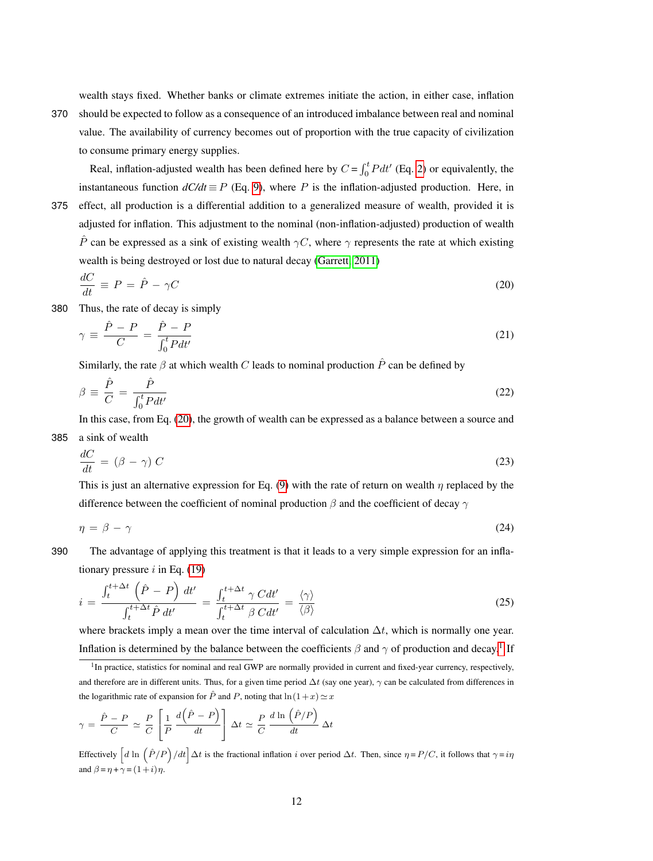wealth stays fixed. Whether banks or climate extremes initiate the action, in either case, inflation

370 should be expected to follow as a consequence of an introduced imbalance between real and nominal value. The availability of currency becomes out of proportion with the true capacity of civilization to consume primary energy supplies.

Real, inflation-adjusted wealth has been defined here by  $C = \int_0^t P dt'$  (Eq. [2\)](#page-3-1) or equivalently, the instantaneous function  $dC/dt \equiv P$  (Eq. [9\)](#page-4-3), where P is the inflation-adjusted production. Here, in 375 effect, all production is a differential addition to a generalized measure of wealth, provided it is

adjusted for inflation. This adjustment to the nominal (non-inflation-adjusted) production of wealth  $\hat{P}$  can be expressed as a sink of existing wealth  $\gamma C$ , where  $\gamma$  represents the rate at which existing wealth is being destroyed or lost due to natural decay [\(Garrett, 2011\)](#page-23-0)

<span id="page-11-0"></span>
$$
\frac{dC}{dt} \equiv P = \hat{P} - \gamma C \tag{20}
$$

380 Thus, the rate of decay is simply

<span id="page-11-6"></span>
$$
\gamma \equiv \frac{\hat{P} - P}{C} = \frac{\hat{P} - P}{\int_0^t P dt'}\tag{21}
$$

Similarly, the rate  $\beta$  at which wealth C leads to nominal production  $\hat{P}$  can be defined by

<span id="page-11-5"></span>
$$
\beta \equiv \frac{\hat{P}}{C} = \frac{\hat{P}}{\int_0^t P dt'} \tag{22}
$$

In this case, from Eq. [\(20\)](#page-11-0), the growth of wealth can be expressed as a balance between a source and 385 a sink of wealth

<span id="page-11-3"></span>
$$
\frac{dC}{dt} = (\beta - \gamma) C \tag{23}
$$

This is just an alternative expression for Eq. [\(9\)](#page-4-3) with the rate of return on wealth  $\eta$  replaced by the difference between the coefficient of nominal production  $\beta$  and the coefficient of decay  $\gamma$ 

<span id="page-11-4"></span>
$$
\eta = \beta - \gamma \tag{24}
$$

390 The advantage of applying this treatment is that it leads to a very simple expression for an inflationary pressure  $i$  in Eq. [\(19\)](#page-10-0)

<span id="page-11-2"></span>
$$
i = \frac{\int_{t}^{t + \Delta t} \left(\hat{P} - P\right) dt'}{\int_{t}^{t + \Delta t} \hat{P} dt'} = \frac{\int_{t}^{t + \Delta t} \gamma \, C dt'}{\int_{t}^{t + \Delta t} \beta \, C dt'} = \frac{\langle \gamma \rangle}{\langle \beta \rangle}
$$
\n(25)

where brackets imply a mean over the time interval of calculation  $\Delta t$ , which is normally one year. Inflation is determined by the balance between the coefficients  $\beta$  and  $\gamma$  of production and decay.<sup>[1](#page-11-1)</sup> If

$$
\gamma = \frac{\hat{P} - P}{C} \simeq \frac{P}{C} \left[ \frac{1}{P} \frac{d(\hat{P} - P)}{dt} \right] \Delta t \simeq \frac{P}{C} \frac{d \ln(\hat{P}/P)}{dt} \Delta t
$$

Effectively  $\left[d \ln \left(\hat{P}/P\right)/dt\right] \Delta t$  is the fractional inflation i over period  $\Delta t$ . Then, since  $\eta = P/C$ , it follows that  $\gamma = i\eta$ and  $\beta = \eta + \gamma = (1+i)\eta$ .

<span id="page-11-1"></span><sup>&</sup>lt;sup>1</sup>In practice, statistics for nominal and real GWP are normally provided in current and fixed-year currency, respectively, and therefore are in different units. Thus, for a given time period  $\Delta t$  (say one year),  $\gamma$  can be calculated from differences in the logarithmic rate of expansion for  $\hat{P}$  and P, noting that  $\ln(1+x) \simeq x$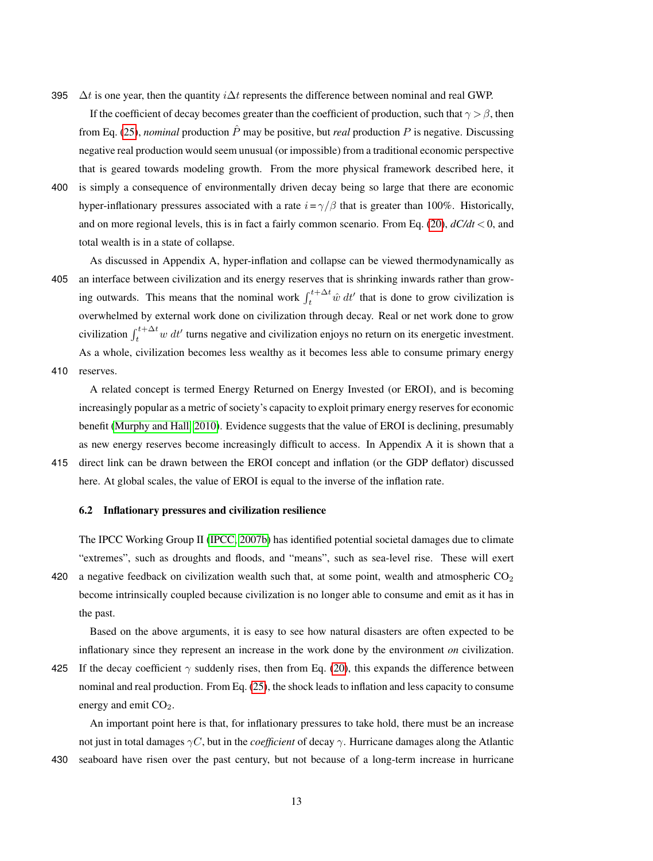395  $\Delta t$  is one year, then the quantity *i* $\Delta t$  represents the difference between nominal and real GWP.

If the coefficient of decay becomes greater than the coefficient of production, such that  $\gamma > \beta$ , then from Eq. [\(25\)](#page-11-2), *nominal* production  $\hat{P}$  may be positive, but *real* production  $P$  is negative. Discussing negative real production would seem unusual (or impossible) from a traditional economic perspective that is geared towards modeling growth. From the more physical framework described here, it

400 is simply a consequence of environmentally driven decay being so large that there are economic hyper-inflationary pressures associated with a rate  $i = \gamma/\beta$  that is greater than 100%. Historically, and on more regional levels, this is in fact a fairly common scenario. From Eq. [\(20\)](#page-11-0), *dC/dt* < 0, and total wealth is in a state of collapse.

As discussed in Appendix A, hyper-inflation and collapse can be viewed thermodynamically as 405 an interface between civilization and its energy reserves that is shrinking inwards rather than growing outwards. This means that the nominal work  $\int_{t}^{t+\Delta t} \hat{w} dt'$  that is done to grow civilization is overwhelmed by external work done on civilization through decay. Real or net work done to grow civilization  $\int_{t}^{t+\Delta t} w dt'$  turns negative and civilization enjoys no return on its energetic investment. As a whole, civilization becomes less wealthy as it becomes less able to consume primary energy

410 reserves.

A related concept is termed Energy Returned on Energy Invested (or EROI), and is becoming increasingly popular as a metric of society's capacity to exploit primary energy reserves for economic benefit [\(Murphy and Hall, 2010\)](#page-24-8). Evidence suggests that the value of EROI is declining, presumably as new energy reserves become increasingly difficult to access. In Appendix A it is shown that a 415 direct link can be drawn between the EROI concept and inflation (or the GDP deflator) discussed

here. At global scales, the value of EROI is equal to the inverse of the inflation rate.

# 6.2 Inflationary pressures and civilization resilience

The IPCC Working Group II [\(IPCC, 2007b\)](#page-24-9) has identified potential societal damages due to climate "extremes", such as droughts and floods, and "means", such as sea-level rise. These will exert 420 a negative feedback on civilization wealth such that, at some point, wealth and atmospheric  $CO<sub>2</sub>$ become intrinsically coupled because civilization is no longer able to consume and emit as it has in the past.

Based on the above arguments, it is easy to see how natural disasters are often expected to be inflationary since they represent an increase in the work done by the environment *on* civilization.

425 If the decay coefficient  $\gamma$  suddenly rises, then from Eq. [\(20\)](#page-11-0), this expands the difference between nominal and real production. From Eq. [\(25\)](#page-11-2), the shock leads to inflation and less capacity to consume energy and emit  $CO<sub>2</sub>$ .

An important point here is that, for inflationary pressures to take hold, there must be an increase not just in total damages γC, but in the *coefficient* of decay γ. Hurricane damages along the Atlantic

430 seaboard have risen over the past century, but not because of a long-term increase in hurricane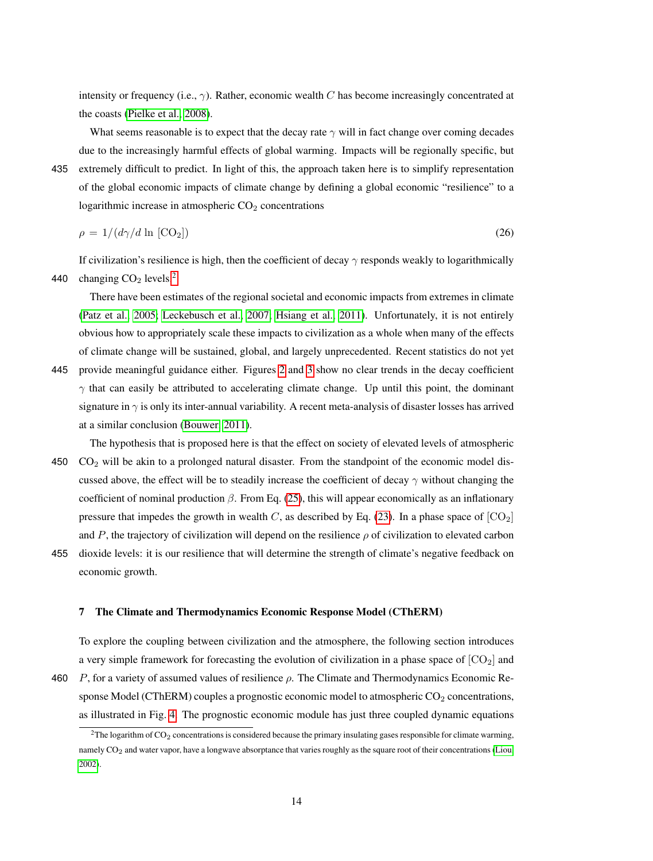intensity or frequency (i.e.,  $\gamma$ ). Rather, economic wealth C has become increasingly concentrated at the coasts [\(Pielke et al., 2008\)](#page-25-16).

What seems reasonable is to expect that the decay rate  $\gamma$  will in fact change over coming decades due to the increasingly harmful effects of global warming. Impacts will be regionally specific, but 435 extremely difficult to predict. In light of this, the approach taken here is to simplify representation

of the global economic impacts of climate change by defining a global economic "resilience" to a logarithmic increase in atmospheric  $CO<sub>2</sub>$  concentrations

<span id="page-13-1"></span>
$$
\rho = 1/(d\gamma/d \ln [\text{CO}_2]) \tag{26}
$$

If civilization's resilience is high, then the coefficient of decay  $\gamma$  responds weakly to logarithmically 440 changing  $CO<sub>2</sub>$  $CO<sub>2</sub>$  $CO<sub>2</sub>$  levels.<sup>2</sup>

There have been estimates of the regional societal and economic impacts from extremes in climate [\(Patz et al., 2005;](#page-25-17) [Leckebusch et al., 2007;](#page-24-10) [Hsiang et al., 2011\)](#page-24-11). Unfortunately, it is not entirely obvious how to appropriately scale these impacts to civilization as a whole when many of the effects of climate change will be sustained, global, and largely unprecedented. Recent statistics do not yet

- 445 provide meaningful guidance either. Figures [2](#page-29-0) and [3](#page-30-0) show no clear trends in the decay coefficient  $\gamma$  that can easily be attributed to accelerating climate change. Up until this point, the dominant signature in  $\gamma$  is only its inter-annual variability. A recent meta-analysis of disaster losses has arrived at a similar conclusion [\(Bouwer, 2011\)](#page-23-12).
- The hypothesis that is proposed here is that the effect on society of elevated levels of atmospheric  $450$  CO<sub>2</sub> will be akin to a prolonged natural disaster. From the standpoint of the economic model discussed above, the effect will be to steadily increase the coefficient of decay  $\gamma$  without changing the coefficient of nominal production  $\beta$ . From Eq. [\(25\)](#page-11-2), this will appear economically as an inflationary pressure that impedes the growth in wealth C, as described by Eq. [\(23\)](#page-11-3). In a phase space of  $[CO_2]$ and  $P$ , the trajectory of civilization will depend on the resilience  $\rho$  of civilization to elevated carbon
- 455 dioxide levels: it is our resilience that will determine the strength of climate's negative feedback on economic growth.

## 7 The Climate and Thermodynamics Economic Response Model (CThERM)

To explore the coupling between civilization and the atmosphere, the following section introduces a very simple framework for forecasting the evolution of civilization in a phase space of  $[CO<sub>2</sub>]$  and

<sup>460</sup> P, for a variety of assumed values of resilience  $\rho$ . The Climate and Thermodynamics Economic Response Model (CThERM) couples a prognostic economic model to atmospheric  $CO<sub>2</sub>$  concentrations, as illustrated in Fig. [4.](#page-31-0) The prognostic economic module has just three coupled dynamic equations

<span id="page-13-0"></span><sup>&</sup>lt;sup>2</sup>The logarithm of CO<sub>2</sub> concentrations is considered because the primary insulating gases responsible for climate warming, namely CO<sub>2</sub> and water vapor, have a longwave absorptance that varies roughly as the square root of their concentrations [\(Liou,](#page-24-12) [2002\)](#page-24-12).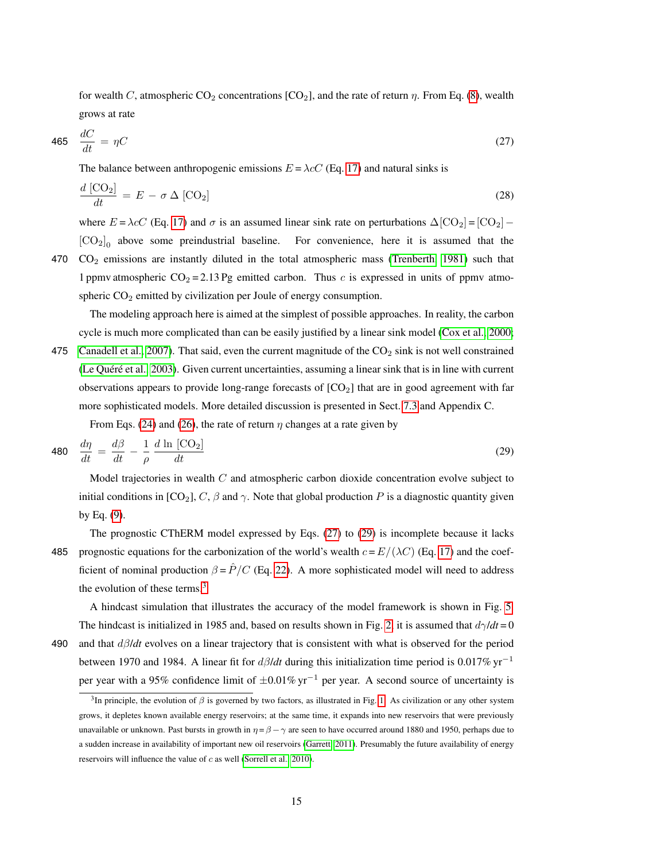for wealth C, atmospheric  $CO_2$  concentrations  $[CO_2]$ , and the rate of return  $\eta$ . From Eq. [\(8\)](#page-4-2), wealth grows at rate

<span id="page-14-0"></span>
$$
465 \quad \frac{dC}{dt} = \eta C \tag{27}
$$

The balance between anthropogenic emissions  $E = \lambda cC$  (Eq. [17\)](#page-9-0) and natural sinks is

<span id="page-14-3"></span>
$$
\frac{d\left[\text{CO}_2\right]}{dt} = E - \sigma \Delta \left[\text{CO}_2\right] \tag{28}
$$

where  $E = \lambda cC$  (Eq. [17\)](#page-9-0) and  $\sigma$  is an assumed linear sink rate on perturbations  $\Delta [CO_2] = [CO_2] [CO<sub>2</sub>]<sub>0</sub>$  above some preindustrial baseline. For convenience, here it is assumed that the 470 CO<sup>2</sup> emissions are instantly diluted in the total atmospheric mass [\(Trenberth, 1981\)](#page-25-18) such that

1 ppmv atmospheric  $CO_2 = 2.13$  Pg emitted carbon. Thus c is expressed in units of ppmv atmospheric  $CO<sub>2</sub>$  emitted by civilization per Joule of energy consumption.

The modeling approach here is aimed at the simplest of possible approaches. In reality, the carbon cycle is much more complicated than can be easily justified by a linear sink model [\(Cox et al., 2000;](#page-23-13) 475 [Canadell et al., 2007\)](#page-23-2). That said, even the current magnitude of the  $CO<sub>2</sub>$  sink is not well constrained (Le Quéré et al., [2003\)](#page-24-13). Given current uncertainties, assuming a linear sink that is in line with current observations appears to provide long-range forecasts of  $[CO<sub>2</sub>]$  that are in good agreement with far

more sophisticated models. More detailed discussion is presented in Sect. [7.3](#page-16-0) and Appendix C.

<span id="page-14-1"></span>From Eqs. [\(24\)](#page-11-4) and [\(26\)](#page-13-1), the rate of return  $\eta$  changes at a rate given by

$$
480 \quad \frac{d\eta}{dt} = \frac{d\beta}{dt} - \frac{1}{\rho} \frac{d\ln[\text{CO}_2]}{dt} \tag{29}
$$

Model trajectories in wealth  $C$  and atmospheric carbon dioxide concentration evolve subject to initial conditions in  $[CO_2]$ , C,  $\beta$  and  $\gamma$ . Note that global production P is a diagnostic quantity given by Eq. [\(9\)](#page-4-3).

The prognostic CThERM model expressed by Eqs. [\(27\)](#page-14-0) to [\(29\)](#page-14-1) is incomplete because it lacks 485 prognostic equations for the carbonization of the world's wealth  $c = E/(\lambda C)$  (Eq. [17\)](#page-9-0) and the coefficient of nominal production  $\beta = \hat{P}/C$  (Eq. [22\)](#page-11-5). A more sophisticated model will need to address the evolution of these terms.<sup>[3](#page-14-2)</sup>

A hindcast simulation that illustrates the accuracy of the model framework is shown in Fig. [5.](#page-32-0) The hindcast is initialized in 1985 and, based on results shown in Fig. [2,](#page-29-0) it is assumed that  $d\gamma/dt = 0$ 490 and that dβ/*dt* evolves on a linear trajectory that is consistent with what is observed for the period

between 1970 and 1984. A linear fit for dβ/*dt* during this initialization time period is 0.017% yr<sup>−</sup><sup>1</sup> per year with a 95% confidence limit of ±0.01% yr<sup>−</sup><sup>1</sup> per year. A second source of uncertainty is

<span id="page-14-2"></span><sup>&</sup>lt;sup>3</sup>In principle, the evolution of  $\beta$  is governed by two factors, as illustrated in Fig. [1.](#page-28-0) As civilization or any other system grows, it depletes known available energy reservoirs; at the same time, it expands into new reservoirs that were previously unavailable or unknown. Past bursts in growth in  $\eta = \beta - \gamma$  are seen to have occurred around 1880 and 1950, perhaps due to a sudden increase in availability of important new oil reservoirs [\(Garrett, 2011\)](#page-23-0). Presumably the future availability of energy reservoirs will influence the value of c as well [\(Sorrell et al., 2010\)](#page-25-19).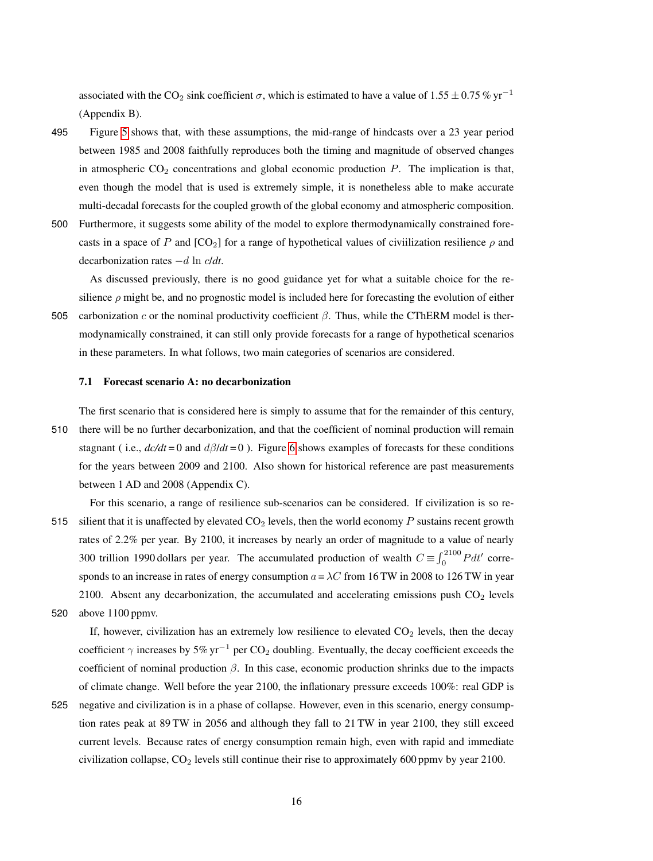associated with the CO<sub>2</sub> sink coefficient  $\sigma$ , which is estimated to have a value of 1.55 ± 0.75 % yr<sup>-1</sup> (Appendix B).

- 495 Figure [5](#page-32-0) shows that, with these assumptions, the mid-range of hindcasts over a 23 year period between 1985 and 2008 faithfully reproduces both the timing and magnitude of observed changes in atmospheric  $CO<sub>2</sub>$  concentrations and global economic production P. The implication is that, even though the model that is used is extremely simple, it is nonetheless able to make accurate multi-decadal forecasts for the coupled growth of the global economy and atmospheric composition.
- 500 Furthermore, it suggests some ability of the model to explore thermodynamically constrained forecasts in a space of P and  $[CO_2]$  for a range of hypothetical values of civilization resilience  $\rho$  and decarbonization rates −d ln c/*dt*.

As discussed previously, there is no good guidance yet for what a suitable choice for the resilience  $\rho$  might be, and no prognostic model is included here for forecasting the evolution of either

505 carbonization c or the nominal productivity coefficient  $\beta$ . Thus, while the CThERM model is thermodynamically constrained, it can still only provide forecasts for a range of hypothetical scenarios in these parameters. In what follows, two main categories of scenarios are considered.

## 7.1 Forecast scenario A: no decarbonization

The first scenario that is considered here is simply to assume that for the remainder of this century, 510 there will be no further decarbonization, and that the coefficient of nominal production will remain stagnant (i.e.,  $d c/dt = 0$  and  $d\beta/dt = 0$ ). Figure [6](#page-33-0) shows examples of forecasts for these conditions for the years between 2009 and 2100. Also shown for historical reference are past measurements between 1 AD and 2008 (Appendix C).

For this scenario, a range of resilience sub-scenarios can be considered. If civilization is so re-515 silient that it is unaffected by elevated  $CO<sub>2</sub>$  levels, then the world economy P sustains recent growth rates of 2.2% per year. By 2100, it increases by nearly an order of magnitude to a value of nearly 300 trillion 1990 dollars per year. The accumulated production of wealth  $C \equiv \int_0^{2100} P dt'$  corresponds to an increase in rates of energy consumption  $a = \lambda C$  from 16 TW in 2008 to 126 TW in year 2100. Absent any decarbonization, the accumulated and accelerating emissions push  $CO<sub>2</sub>$  levels

520 above 1100 ppmv.

If, however, civilization has an extremely low resilience to elevated  $CO<sub>2</sub>$  levels, then the decay coefficient  $\gamma$  increases by 5% yr<sup>-1</sup> per CO<sub>2</sub> doubling. Eventually, the decay coefficient exceeds the coefficient of nominal production  $\beta$ . In this case, economic production shrinks due to the impacts of climate change. Well before the year 2100, the inflationary pressure exceeds 100%: real GDP is

525 negative and civilization is in a phase of collapse. However, even in this scenario, energy consumption rates peak at 89 TW in 2056 and although they fall to 21 TW in year 2100, they still exceed current levels. Because rates of energy consumption remain high, even with rapid and immediate civilization collapse,  $CO<sub>2</sub>$  levels still continue their rise to approximately 600 ppmv by year 2100.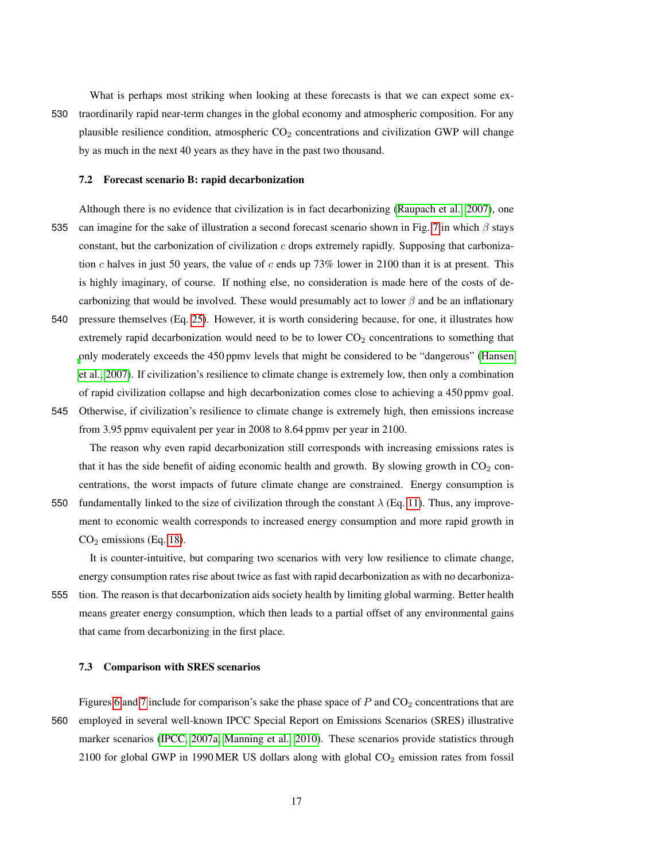What is perhaps most striking when looking at these forecasts is that we can expect some ex-530 traordinarily rapid near-term changes in the global economy and atmospheric composition. For any plausible resilience condition, atmospheric  $CO<sub>2</sub>$  concentrations and civilization GWP will change by as much in the next 40 years as they have in the past two thousand.

#### 7.2 Forecast scenario B: rapid decarbonization

- Although there is no evidence that civilization is in fact decarbonizing [\(Raupach et al., 2007\)](#page-25-0), one 535 can imagine for the sake of illustration a second forecast scenario shown in Fig. [7](#page-34-0) in which  $\beta$  stays constant, but the carbonization of civilization  $c$  drops extremely rapidly. Supposing that carbonization c halves in just 50 years, the value of c ends up 73% lower in 2100 than it is at present. This is highly imaginary, of course. If nothing else, no consideration is made here of the costs of decarbonizing that would be involved. These would presumably act to lower  $\beta$  and be an inflationary
- 540 pressure themselves (Eq. [25\)](#page-11-2). However, it is worth considering because, for one, it illustrates how extremely rapid decarbonization would need to be to lower  $CO<sub>2</sub>$  concentrations to something that [o](#page-23-1)nly moderately exceeds the 450 ppmv levels that might be considered to be "dangerous" [\(Hansen](#page-23-1) [et al., 2007\)](#page-23-1). If civilization's resilience to climate change is extremely low, then only a combination of rapid civilization collapse and high decarbonization comes close to achieving a 450 ppmv goal.
- 545 Otherwise, if civilization's resilience to climate change is extremely high, then emissions increase from 3.95 ppmv equivalent per year in 2008 to 8.64 ppmv per year in 2100.

The reason why even rapid decarbonization still corresponds with increasing emissions rates is that it has the side benefit of aiding economic health and growth. By slowing growth in  $CO<sub>2</sub>$  concentrations, the worst impacts of future climate change are constrained. Energy consumption is

550 fundamentally linked to the size of civilization through the constant  $\lambda$  (Eq. [11\)](#page-4-4). Thus, any improvement to economic wealth corresponds to increased energy consumption and more rapid growth in  $CO<sub>2</sub>$  emissions (Eq. [18\)](#page-9-1).

It is counter-intuitive, but comparing two scenarios with very low resilience to climate change, energy consumption rates rise about twice as fast with rapid decarbonization as with no decarboniza-

555 tion. The reason is that decarbonization aids society health by limiting global warming. Better health means greater energy consumption, which then leads to a partial offset of any environmental gains that came from decarbonizing in the first place.

# <span id="page-16-0"></span>7.3 Comparison with SRES scenarios

Figures [6](#page-33-0) and [7](#page-34-0) include for comparison's sake the phase space of  $P$  and  $CO<sub>2</sub>$  concentrations that are 560 employed in several well-known IPCC Special Report on Emissions Scenarios (SRES) illustrative marker scenarios [\(IPCC, 2007a;](#page-24-14) [Manning et al., 2010\)](#page-24-15). These scenarios provide statistics through 2100 for global GWP in 1990 MER US dollars along with global  $CO<sub>2</sub>$  emission rates from fossil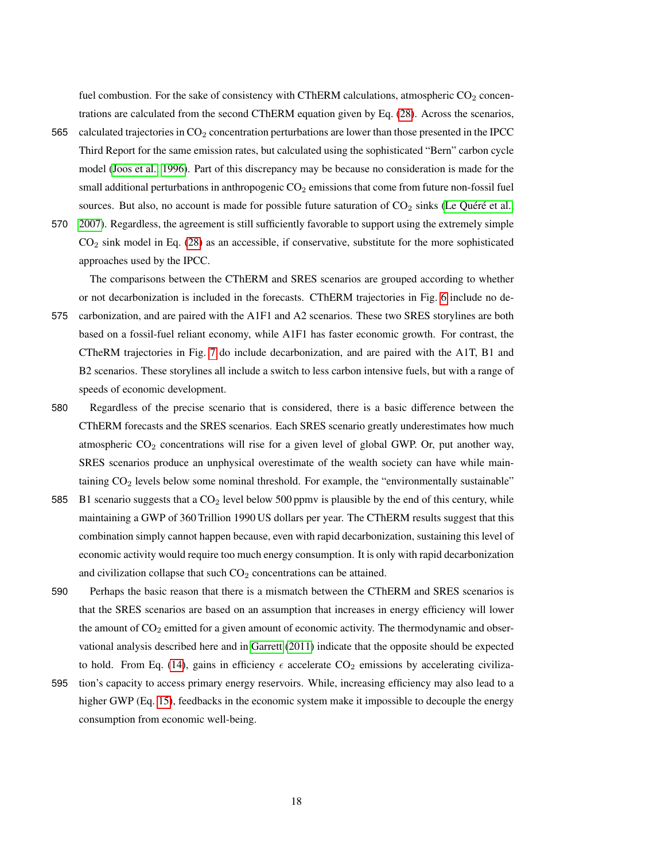fuel combustion. For the sake of consistency with CThERM calculations, atmospheric  $CO<sub>2</sub>$  concentrations are calculated from the second CThERM equation given by Eq. [\(28\)](#page-14-3). Across the scenarios,

- 565 calculated trajectories in  $CO<sub>2</sub>$  concentration perturbations are lower than those presented in the IPCC Third Report for the same emission rates, but calculated using the sophisticated "Bern" carbon cycle model [\(Joos et al., 1996\)](#page-24-16). Part of this discrepancy may be because no consideration is made for the small additional perturbations in anthropogenic  $CO<sub>2</sub>$  emissions that come from future non-fossil fuel sources. But also, no account is made for possible future saturation of  $CO<sub>2</sub>$  sinks (Le Quéré et al.,
- 570 [2007\)](#page-24-17). Regardless, the agreement is still sufficiently favorable to support using the extremely simple CO<sup>2</sup> sink model in Eq. [\(28\)](#page-14-3) as an accessible, if conservative, substitute for the more sophisticated approaches used by the IPCC.

The comparisons between the CThERM and SRES scenarios are grouped according to whether or not decarbonization is included in the forecasts. CThERM trajectories in Fig. [6](#page-33-0) include no de-

- 575 carbonization, and are paired with the A1F1 and A2 scenarios. These two SRES storylines are both based on a fossil-fuel reliant economy, while A1F1 has faster economic growth. For contrast, the CTheRM trajectories in Fig. [7](#page-34-0) do include decarbonization, and are paired with the A1T, B1 and B2 scenarios. These storylines all include a switch to less carbon intensive fuels, but with a range of speeds of economic development.
- 580 Regardless of the precise scenario that is considered, there is a basic difference between the CThERM forecasts and the SRES scenarios. Each SRES scenario greatly underestimates how much atmospheric  $CO<sub>2</sub>$  concentrations will rise for a given level of global GWP. Or, put another way, SRES scenarios produce an unphysical overestimate of the wealth society can have while maintaining  $CO<sub>2</sub>$  levels below some nominal threshold. For example, the "environmentally sustainable"
- 585 B1 scenario suggests that a  $CO<sub>2</sub>$  level below 500 ppmv is plausible by the end of this century, while maintaining a GWP of 360 Trillion 1990 US dollars per year. The CThERM results suggest that this combination simply cannot happen because, even with rapid decarbonization, sustaining this level of economic activity would require too much energy consumption. It is only with rapid decarbonization and civilization collapse that such  $CO<sub>2</sub>$  concentrations can be attained.
- 590 Perhaps the basic reason that there is a mismatch between the CThERM and SRES scenarios is that the SRES scenarios are based on an assumption that increases in energy efficiency will lower the amount of  $CO<sub>2</sub>$  emitted for a given amount of economic activity. The thermodynamic and observational analysis described here and in [Garrett](#page-23-0) [\(2011\)](#page-23-0) indicate that the opposite should be expected to hold. From Eq. [\(14\)](#page-8-1), gains in efficiency  $\epsilon$  accelerate CO<sub>2</sub> emissions by accelerating civiliza-
- 595 tion's capacity to access primary energy reservoirs. While, increasing efficiency may also lead to a higher GWP (Eq. [15\)](#page-9-2), feedbacks in the economic system make it impossible to decouple the energy consumption from economic well-being.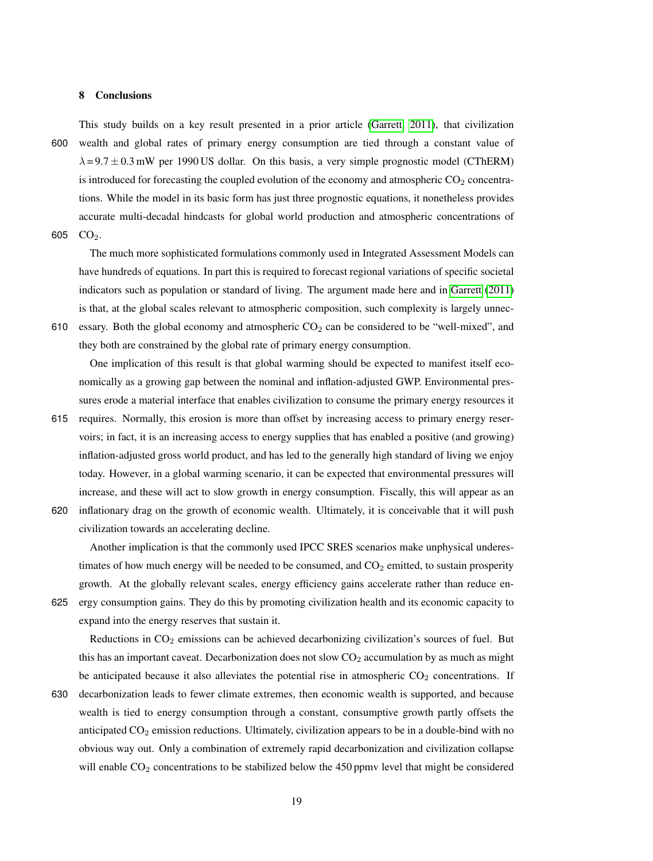## 8 Conclusions

This study builds on a key result presented in a prior article [\(Garrett, 2011\)](#page-23-0), that civilization 600 wealth and global rates of primary energy consumption are tied through a constant value of  $\lambda = 9.7 \pm 0.3$  mW per 1990 US dollar. On this basis, a very simple prognostic model (CThERM) is introduced for forecasting the coupled evolution of the economy and atmospheric  $CO<sub>2</sub>$  concentrations. While the model in its basic form has just three prognostic equations, it nonetheless provides accurate multi-decadal hindcasts for global world production and atmospheric concentrations of

605 CO<sub>2</sub>.

The much more sophisticated formulations commonly used in Integrated Assessment Models can have hundreds of equations. In part this is required to forecast regional variations of specific societal indicators such as population or standard of living. The argument made here and in [Garrett](#page-23-0) [\(2011\)](#page-23-0) is that, at the global scales relevant to atmospheric composition, such complexity is largely unnec-

610 essary. Both the global economy and atmospheric  $CO<sub>2</sub>$  can be considered to be "well-mixed", and they both are constrained by the global rate of primary energy consumption.

One implication of this result is that global warming should be expected to manifest itself economically as a growing gap between the nominal and inflation-adjusted GWP. Environmental pressures erode a material interface that enables civilization to consume the primary energy resources it

- 615 requires. Normally, this erosion is more than offset by increasing access to primary energy reservoirs; in fact, it is an increasing access to energy supplies that has enabled a positive (and growing) inflation-adjusted gross world product, and has led to the generally high standard of living we enjoy today. However, in a global warming scenario, it can be expected that environmental pressures will increase, and these will act to slow growth in energy consumption. Fiscally, this will appear as an
- 620 inflationary drag on the growth of economic wealth. Ultimately, it is conceivable that it will push civilization towards an accelerating decline.

Another implication is that the commonly used IPCC SRES scenarios make unphysical underestimates of how much energy will be needed to be consumed, and  $CO<sub>2</sub>$  emitted, to sustain prosperity growth. At the globally relevant scales, energy efficiency gains accelerate rather than reduce en-

625 ergy consumption gains. They do this by promoting civilization health and its economic capacity to expand into the energy reserves that sustain it.

Reductions in  $CO<sub>2</sub>$  emissions can be achieved decarbonizing civilization's sources of fuel. But this has an important caveat. Decarbonization does not slow  $CO<sub>2</sub>$  accumulation by as much as might be anticipated because it also alleviates the potential rise in atmospheric  $CO<sub>2</sub>$  concentrations. If

630 decarbonization leads to fewer climate extremes, then economic wealth is supported, and because wealth is tied to energy consumption through a constant, consumptive growth partly offsets the anticipated  $CO<sub>2</sub>$  emission reductions. Ultimately, civilization appears to be in a double-bind with no obvious way out. Only a combination of extremely rapid decarbonization and civilization collapse will enable CO<sub>2</sub> concentrations to be stabilized below the 450 ppmv level that might be considered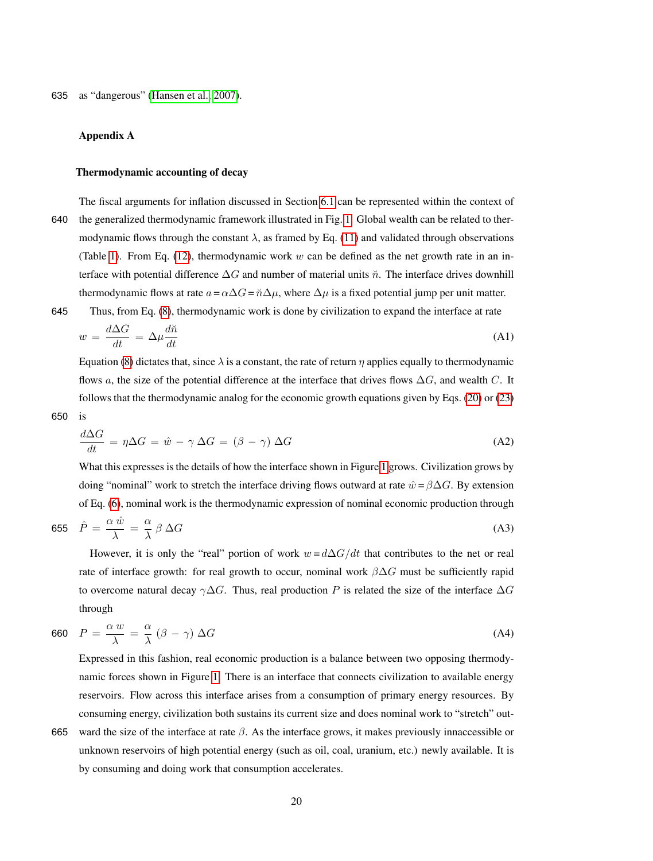# Appendix A

# Thermodynamic accounting of decay

The fiscal arguments for inflation discussed in Section [6.1](#page-10-1) can be represented within the context of 640 the generalized thermodynamic framework illustrated in Fig. [1.](#page-28-0) Global wealth can be related to thermodynamic flows through the constant  $\lambda$ , as framed by Eq. [\(11\)](#page-4-4) and validated through observations (Table [1\)](#page-26-0). From Eq. [\(12\)](#page-8-0), thermodynamic work w can be defined as the net growth rate in an interface with potential difference  $\Delta G$  and number of material units  $\tilde{n}$ . The interface drives downhill thermodynamic flows at rate  $a = \alpha \Delta G = \tilde{n} \Delta \mu$ , where  $\Delta \mu$  is a fixed potential jump per unit matter.

645 Thus, from Eq. [\(8\)](#page-4-2), thermodynamic work is done by civilization to expand the interface at rate

<span id="page-19-3"></span>
$$
w = \frac{d\Delta G}{dt} = \Delta \mu \frac{d\tilde{n}}{dt} \tag{A1}
$$

Equation [\(8\)](#page-4-2) dictates that, since  $\lambda$  is a constant, the rate of return  $\eta$  applies equally to thermodynamic flows a, the size of the potential difference at the interface that drives flows  $\Delta G$ , and wealth C. It follows that the thermodynamic analog for the economic growth equations given by Eqs. [\(20\)](#page-11-0) or [\(23\)](#page-11-3)

650 is

<span id="page-19-2"></span>
$$
\frac{d\Delta G}{dt} = \eta \Delta G = \hat{w} - \gamma \Delta G = (\beta - \gamma) \Delta G \tag{A2}
$$

What this expresses is the details of how the interface shown in Figure [1](#page-28-0) grows. Civilization grows by doing "nominal" work to stretch the interface driving flows outward at rate  $\hat{w} = \beta \Delta G$ . By extension of Eq. [\(6\)](#page-4-0), nominal work is the thermodynamic expression of nominal economic production through

<span id="page-19-0"></span>
$$
655 \quad \hat{P} = \frac{\alpha \,\hat{w}}{\lambda} = \frac{\alpha}{\lambda} \,\beta \,\Delta G \tag{A3}
$$

However, it is only the "real" portion of work  $w = d\Delta G/dt$  that contributes to the net or real rate of interface growth: for real growth to occur, nominal work  $\beta \Delta G$  must be sufficiently rapid to overcome natural decay  $\gamma \Delta G$ . Thus, real production P is related the size of the interface  $\Delta G$ through

<span id="page-19-1"></span>
$$
660 \quad P = \frac{\alpha w}{\lambda} = \frac{\alpha}{\lambda} \left(\beta - \gamma\right) \Delta G \tag{A4}
$$

Expressed in this fashion, real economic production is a balance between two opposing thermodynamic forces shown in Figure [1.](#page-28-0) There is an interface that connects civilization to available energy reservoirs. Flow across this interface arises from a consumption of primary energy resources. By consuming energy, civilization both sustains its current size and does nominal work to "stretch" out-665 ward the size of the interface at rate  $\beta$ . As the interface grows, it makes previously innaccessible or

unknown reservoirs of high potential energy (such as oil, coal, uranium, etc.) newly available. It is

20

by consuming and doing work that consumption accelerates.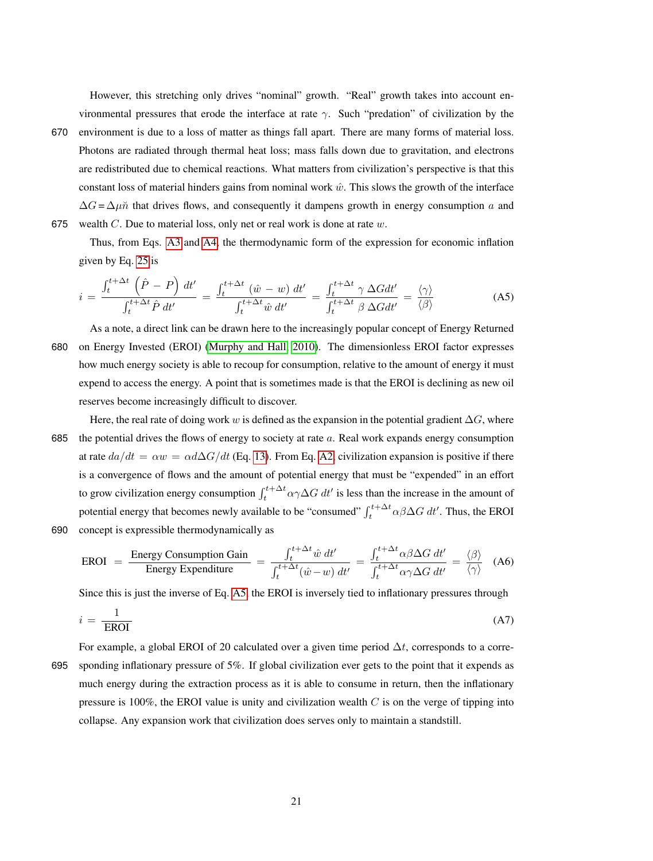However, this stretching only drives "nominal" growth. "Real" growth takes into account environmental pressures that erode the interface at rate  $\gamma$ . Such "predation" of civilization by the

670 environment is due to a loss of matter as things fall apart. There are many forms of material loss. Photons are radiated through thermal heat loss; mass falls down due to gravitation, and electrons are redistributed due to chemical reactions. What matters from civilization's perspective is that this constant loss of material hinders gains from nominal work  $\hat{w}$ . This slows the growth of the interface  $\Delta G = \Delta \mu \tilde{n}$  that drives flows, and consequently it dampens growth in energy consumption a and

675 wealth  $C$ . Due to material loss, only net or real work is done at rate  $w$ .

Thus, from Eqs. [A3](#page-19-0) and [A4,](#page-19-1) the thermodynamic form of the expression for economic inflation given by Eq. [25](#page-11-2) is

<span id="page-20-0"></span>
$$
i = \frac{\int_{t}^{t + \Delta t} \left(\hat{P} - P\right) dt'}{\int_{t}^{t + \Delta t} \hat{P} dt'} = \frac{\int_{t}^{t + \Delta t} \left(\hat{w} - w\right) dt'}{\int_{t}^{t + \Delta t} \hat{w} dt'} = \frac{\int_{t}^{t + \Delta t} \gamma \Delta G dt'}{\int_{t}^{t + \Delta t} \beta \Delta G dt'} = \frac{\langle \gamma \rangle}{\langle \beta \rangle}
$$
(A5)

As a note, a direct link can be drawn here to the increasingly popular concept of Energy Returned 680 on Energy Invested (EROI) [\(Murphy and Hall, 2010\)](#page-24-8). The dimensionless EROI factor expresses how much energy society is able to recoup for consumption, relative to the amount of energy it must expend to access the energy. A point that is sometimes made is that the EROI is declining as new oil reserves become increasingly difficult to discover.

Here, the real rate of doing work w is defined as the expansion in the potential gradient  $\Delta G$ , where 685 the potential drives the flows of energy to society at rate  $a$ . Real work expands energy consumption at rate  $da/dt = \alpha w = \alpha d\Delta G/dt$  (Eq. [13\)](#page-8-2). From Eq. [A2,](#page-19-2) civilization expansion is positive if there is a convergence of flows and the amount of potential energy that must be "expended" in an effort to grow civilization energy consumption  $\int_{t}^{t+\Delta t} \alpha \gamma \Delta G dt'$  is less than the increase in the amount of potential energy that becomes newly available to be "consumed"  $\int_{t}^{t+\Delta t} \alpha \beta \Delta G dt'$ . Thus, the EROI 690 concept is expressible thermodynamically as

$$
EROI = \frac{Energy Consumption Gain}{Energy Expenditure} = \frac{\int_{t}^{t + \Delta t} \hat{w} dt'}{\int_{t}^{t + \Delta t} (\hat{w} - w) dt'} = \frac{\int_{t}^{t + \Delta t} \alpha \beta \Delta G dt'}{\int_{t}^{t + \Delta t} \alpha \gamma \Delta G dt'} = \frac{\langle \beta \rangle}{\langle \gamma \rangle} \quad (A6)
$$

Since this is just the inverse of Eq. [A5,](#page-20-0) the EROI is inversely tied to inflationary pressures through

$$
i = \frac{1}{\text{EROI}}\tag{A7}
$$

For example, a global EROI of 20 calculated over a given time period  $\Delta t$ , corresponds to a corre-

695 sponding inflationary pressure of 5%. If global civilization ever gets to the point that it expends as much energy during the extraction process as it is able to consume in return, then the inflationary pressure is 100%, the EROI value is unity and civilization wealth  $C$  is on the verge of tipping into collapse. Any expansion work that civilization does serves only to maintain a standstill.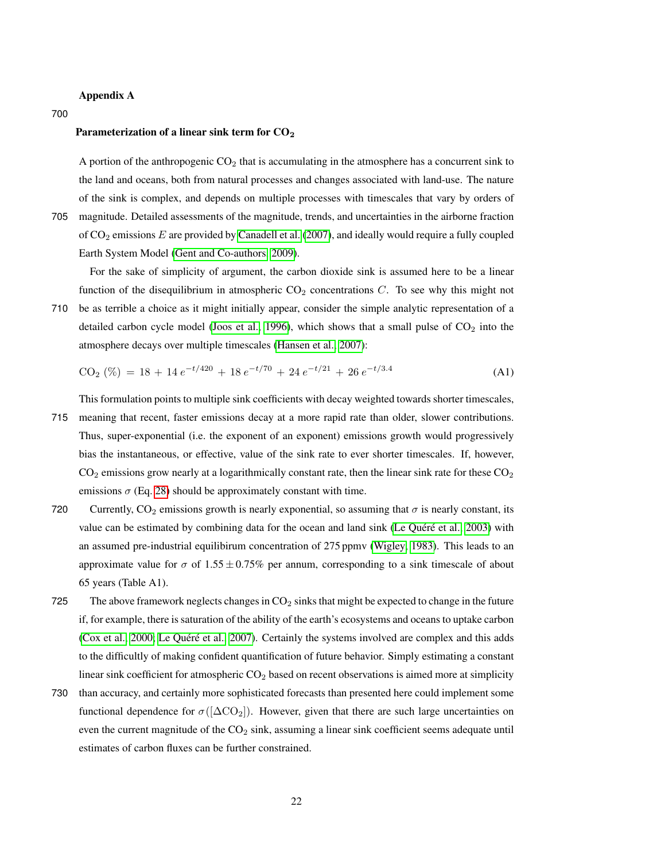# Appendix A

#### 700

# Parameterization of a linear sink term for  $CO<sub>2</sub>$

A portion of the anthropogenic CO<sup>2</sup> that is accumulating in the atmosphere has a concurrent sink to the land and oceans, both from natural processes and changes associated with land-use. The nature of the sink is complex, and depends on multiple processes with timescales that vary by orders of

705 magnitude. Detailed assessments of the magnitude, trends, and uncertainties in the airborne fraction of  $CO<sub>2</sub>$  emissions  $E$  are provided by [Canadell et al.](#page-23-2) [\(2007\)](#page-23-2), and ideally would require a fully coupled Earth System Model [\(Gent and Co-authors, 2009\)](#page-23-14).

For the sake of simplicity of argument, the carbon dioxide sink is assumed here to be a linear function of the disequilibrium in atmospheric  $CO<sub>2</sub>$  concentrations C. To see why this might not

710 be as terrible a choice as it might initially appear, consider the simple analytic representation of a detailed carbon cycle model [\(Joos et al., 1996\)](#page-24-16), which shows that a small pulse of  $CO<sub>2</sub>$  into the atmosphere decays over multiple timescales [\(Hansen et al., 2007\)](#page-23-1):

$$
CO2 (\%) = 18 + 14 e^{-t/420} + 18 e^{-t/70} + 24 e^{-t/21} + 26 e^{-t/3.4}
$$
 (A1)

This formulation points to multiple sink coefficients with decay weighted towards shorter timescales, 715 meaning that recent, faster emissions decay at a more rapid rate than older, slower contributions. Thus, super-exponential (i.e. the exponent of an exponent) emissions growth would progressively bias the instantaneous, or effective, value of the sink rate to ever shorter timescales. If, however,  $CO<sub>2</sub>$  emissions grow nearly at a logarithmically constant rate, then the linear sink rate for these  $CO<sub>2</sub>$ emissions  $\sigma$  (Eq. [28\)](#page-14-3) should be approximately constant with time.

- 720 Currently,  $CO_2$  emissions growth is nearly exponential, so assuming that  $\sigma$  is nearly constant, its value can be estimated by combining data for the ocean and land sink (Le Quéré et al., [2003\)](#page-24-13) with an assumed pre-industrial equilibirum concentration of 275 ppmv [\(Wigley, 1983\)](#page-25-20). This leads to an approximate value for  $\sigma$  of 1.55  $\pm$  0.75% per annum, corresponding to a sink timescale of about 65 years (Table A1).
- 725 The above framework neglects changes in  $CO<sub>2</sub>$  sinks that might be expected to change in the future if, for example, there is saturation of the ability of the earth's ecosystems and oceans to uptake carbon [\(Cox et al., 2000;](#page-23-13) Le Quéré et al., [2007\)](#page-24-17). Certainly the systems involved are complex and this adds to the difficultly of making confident quantification of future behavior. Simply estimating a constant linear sink coefficient for atmospheric  $CO<sub>2</sub>$  based on recent observations is aimed more at simplicity
- 730 than accuracy, and certainly more sophisticated forecasts than presented here could implement some functional dependence for  $\sigma([\Delta CO_2])$ . However, given that there are such large uncertainties on even the current magnitude of the  $CO<sub>2</sub>$  sink, assuming a linear sink coefficient seems adequate until estimates of carbon fluxes can be further constrained.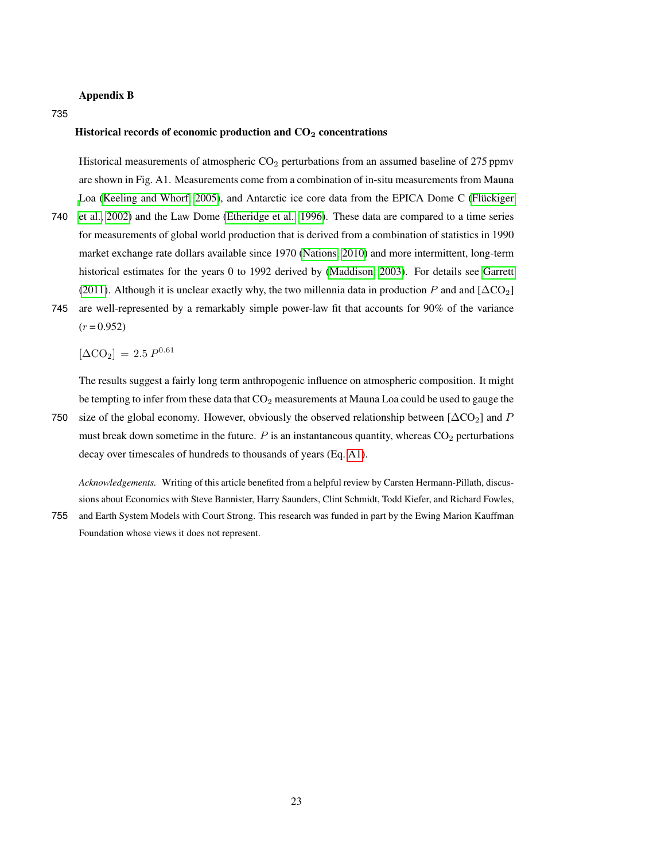# Appendix B

735

# Historical records of economic production and  $CO<sub>2</sub>$  concentrations

Historical measurements of atmospheric  $CO<sub>2</sub>$  perturbations from an assumed baseline of 275 ppmv are shown in Fig. A1. Measurements come from a combination of in-situ measurements from Mauna [L](#page-23-15)oa [\(Keeling and Whorf, 2005\)](#page-24-18), and Antarctic ice core data from the EPICA Dome C (Flückiger

- 740 [et al., 2002\)](#page-23-15) and the Law Dome [\(Etheridge et al., 1996\)](#page-23-16). These data are compared to a time series for measurements of global world production that is derived from a combination of statistics in 1990 market exchange rate dollars available since 1970 [\(Nations, 2010\)](#page-25-8) and more intermittent, long-term historical estimates for the years 0 to 1992 derived by [\(Maddison, 2003\)](#page-24-3). For details see [Garrett](#page-23-0) [\(2011\)](#page-23-0). Although it is unclear exactly why, the two millennia data in production P and and  $[\Delta CO_2]$
- 745 are well-represented by a remarkably simple power-law fit that accounts for 90% of the variance  $(r = 0.952)$

 $[\Delta CO_2] = 2.5 P^{0.61}$ 

The results suggest a fairly long term anthropogenic influence on atmospheric composition. It might be tempting to infer from these data that  $CO<sub>2</sub>$  measurements at Mauna Loa could be used to gauge the

750 size of the global economy. However, obviously the observed relationship between  $[\Delta CO_2]$  and P must break down sometime in the future.  $P$  is an instantaneous quantity, whereas  $CO<sub>2</sub>$  perturbations decay over timescales of hundreds to thousands of years (Eq. [A1\)](#page-19-3).

*Acknowledgements.* Writing of this article benefited from a helpful review by Carsten Hermann-Pillath, discussions about Economics with Steve Bannister, Harry Saunders, Clint Schmidt, Todd Kiefer, and Richard Fowles,

755 and Earth System Models with Court Strong. This research was funded in part by the Ewing Marion Kauffman

Foundation whose views it does not represent.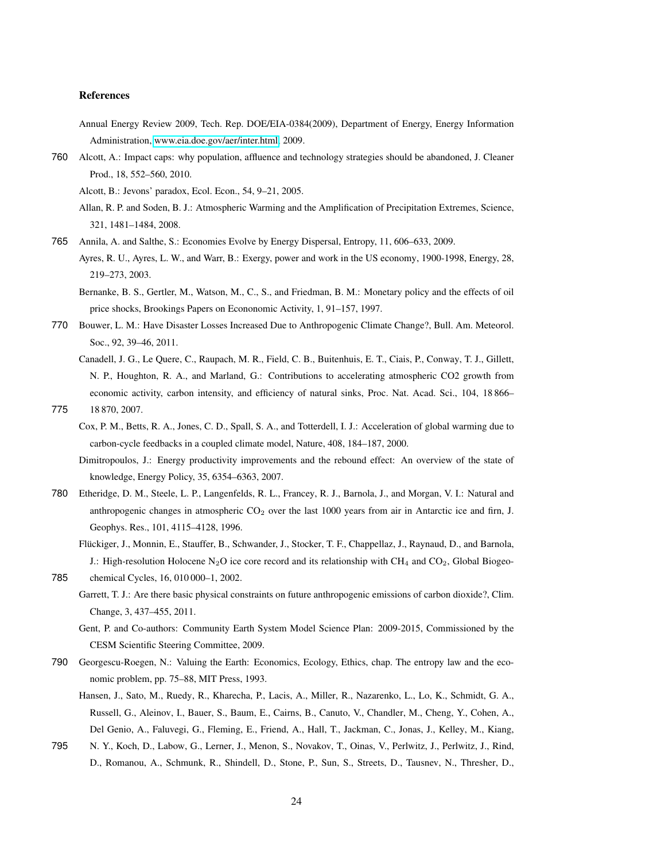#### References

- <span id="page-23-9"></span>Annual Energy Review 2009, Tech. Rep. DOE/EIA-0384(2009), Department of Energy, Energy Information Administration, [www.eia.doe.gov/aer/inter.html,](www.eia.doe.gov/aer/inter.html) 2009.
- <span id="page-23-7"></span><span id="page-23-6"></span>760 Alcott, A.: Impact caps: why population, affluence and technology strategies should be abandoned, J. Cleaner Prod., 18, 552–560, 2010.

Alcott, B.: Jevons' paradox, Ecol. Econ., 54, 9–21, 2005.

<span id="page-23-3"></span>Allan, R. P. and Soden, B. J.: Atmospheric Warming and the Amplification of Precipitation Extremes, Science, 321, 1481–1484, 2008.

- <span id="page-23-8"></span><span id="page-23-5"></span>765 Annila, A. and Salthe, S.: Economies Evolve by Energy Dispersal, Entropy, 11, 606–633, 2009.
	- Ayres, R. U., Ayres, L. W., and Warr, B.: Exergy, power and work in the US economy, 1900-1998, Energy, 28, 219–273, 2003.

<span id="page-23-11"></span>Bernanke, B. S., Gertler, M., Watson, M., C., S., and Friedman, B. M.: Monetary policy and the effects of oil price shocks, Brookings Papers on Econonomic Activity, 1, 91–157, 1997.

- <span id="page-23-12"></span><span id="page-23-2"></span>770 Bouwer, L. M.: Have Disaster Losses Increased Due to Anthropogenic Climate Change?, Bull. Am. Meteorol. Soc., 92, 39–46, 2011.
	- Canadell, J. G., Le Quere, C., Raupach, M. R., Field, C. B., Buitenhuis, E. T., Ciais, P., Conway, T. J., Gillett, N. P., Houghton, R. A., and Marland, G.: Contributions to accelerating atmospheric CO2 growth from economic activity, carbon intensity, and efficiency of natural sinks, Proc. Nat. Acad. Sci., 104, 18 866–
- <span id="page-23-13"></span><span id="page-23-10"></span>775 18 870, 2007.
	- Cox, P. M., Betts, R. A., Jones, C. D., Spall, S. A., and Totterdell, I. J.: Acceleration of global warming due to carbon-cycle feedbacks in a coupled climate model, Nature, 408, 184–187, 2000.
	- Dimitropoulos, J.: Energy productivity improvements and the rebound effect: An overview of the state of knowledge, Energy Policy, 35, 6354–6363, 2007.
- <span id="page-23-16"></span><span id="page-23-15"></span>780 Etheridge, D. M., Steele, L. P., Langenfelds, R. L., Francey, R. J., Barnola, J., and Morgan, V. I.: Natural and anthropogenic changes in atmospheric  $CO<sub>2</sub>$  over the last 1000 years from air in Antarctic ice and firn, J. Geophys. Res., 101, 4115–4128, 1996.
	- Flückiger, J., Monnin, E., Stauffer, B., Schwander, J., Stocker, T. F., Chappellaz, J., Raynaud, D., and Barnola, J.: High-resolution Holocene N<sub>2</sub>O ice core record and its relationship with CH<sub>4</sub> and CO<sub>2</sub>, Global Biogeo-
- <span id="page-23-14"></span><span id="page-23-0"></span>785 chemical Cycles, 16, 010 000–1, 2002.
	- Garrett, T. J.: Are there basic physical constraints on future anthropogenic emissions of carbon dioxide?, Clim. Change, 3, 437–455, 2011.
	- Gent, P. and Co-authors: Community Earth System Model Science Plan: 2009-2015, Commissioned by the CESM Scientific Steering Committee, 2009.
- <span id="page-23-4"></span><span id="page-23-1"></span>790 Georgescu-Roegen, N.: Valuing the Earth: Economics, Ecology, Ethics, chap. The entropy law and the economic problem, pp. 75–88, MIT Press, 1993.
	- Hansen, J., Sato, M., Ruedy, R., Kharecha, P., Lacis, A., Miller, R., Nazarenko, L., Lo, K., Schmidt, G. A., Russell, G., Aleinov, I., Bauer, S., Baum, E., Cairns, B., Canuto, V., Chandler, M., Cheng, Y., Cohen, A., Del Genio, A., Faluvegi, G., Fleming, E., Friend, A., Hall, T., Jackman, C., Jonas, J., Kelley, M., Kiang,
- 795 N. Y., Koch, D., Labow, G., Lerner, J., Menon, S., Novakov, T., Oinas, V., Perlwitz, J., Perlwitz, J., Rind, D., Romanou, A., Schmunk, R., Shindell, D., Stone, P., Sun, S., Streets, D., Tausnev, N., Thresher, D.,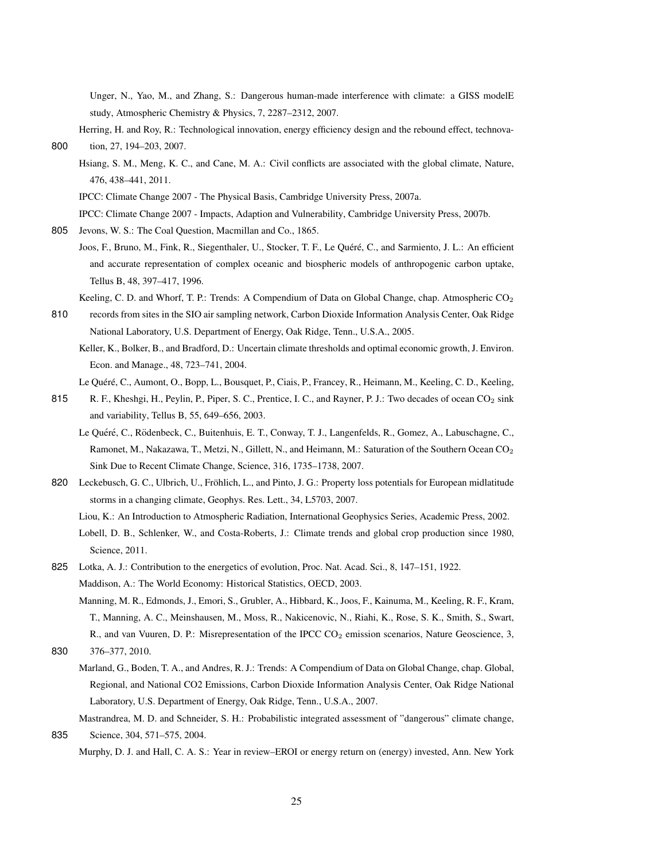Unger, N., Yao, M., and Zhang, S.: Dangerous human-made interference with climate: a GISS modelE study, Atmospheric Chemistry & Physics, 7, 2287–2312, 2007.

- <span id="page-24-11"></span><span id="page-24-4"></span>Herring, H. and Roy, R.: Technological innovation, energy efficiency design and the rebound effect, technova-800 tion, 27, 194–203, 2007.
	- Hsiang, S. M., Meng, K. C., and Cane, M. A.: Civil conflicts are associated with the global climate, Nature, 476, 438–441, 2011.

<span id="page-24-14"></span>IPCC: Climate Change 2007 - The Physical Basis, Cambridge University Press, 2007a.

<span id="page-24-9"></span>IPCC: Climate Change 2007 - Impacts, Adaption and Vulnerability, Cambridge University Press, 2007b.

<span id="page-24-16"></span><span id="page-24-5"></span>805 Jevons, W. S.: The Coal Question, Macmillan and Co., 1865.

Joos, F., Bruno, M., Fink, R., Siegenthaler, U., Stocker, T. F., Le Quéré, C., and Sarmiento, J. L.: An efficient and accurate representation of complex oceanic and biospheric models of anthropogenic carbon uptake, Tellus B, 48, 397–417, 1996.

<span id="page-24-18"></span>Keeling, C. D. and Whorf, T. P.: Trends: A Compendium of Data on Global Change, chap. Atmospheric CO<sub>2</sub>

<span id="page-24-0"></span>810 records from sites in the SIO air sampling network, Carbon Dioxide Information Analysis Center, Oak Ridge National Laboratory, U.S. Department of Energy, Oak Ridge, Tenn., U.S.A., 2005.

Keller, K., Bolker, B., and Bradford, D.: Uncertain climate thresholds and optimal economic growth, J. Environ. Econ. and Manage., 48, 723–741, 2004.

- <span id="page-24-17"></span><span id="page-24-13"></span>815 R. F., Kheshgi, H., Peylin, P., Piper, S. C., Prentice, I. C., and Rayner, P. J.: Two decades of ocean CO<sub>2</sub> sink and variability, Tellus B, 55, 649–656, 2003.
	- Le Quéré, C., Rödenbeck, C., Buitenhuis, E. T., Conway, T. J., Langenfelds, R., Gomez, A., Labuschagne, C., Ramonet, M., Nakazawa, T., Metzi, N., Gillett, N., and Heimann, M.: Saturation of the Southern Ocean CO<sup>2</sup> Sink Due to Recent Climate Change, Science, 316, 1735–1738, 2007.
- <span id="page-24-12"></span><span id="page-24-10"></span><span id="page-24-7"></span>820 Leckebusch, G. C., Ulbrich, U., Fröhlich, L., and Pinto, J. G.: Property loss potentials for European midlatitude storms in a changing climate, Geophys. Res. Lett., 34, L5703, 2007. Liou, K.: An Introduction to Atmospheric Radiation, International Geophysics Series, Academic Press, 2002.
	- Lobell, D. B., Schlenker, W., and Costa-Roberts, J.: Climate trends and global crop production since 1980, Science, 2011.
- <span id="page-24-15"></span><span id="page-24-3"></span><span id="page-24-2"></span>825 Lotka, A. J.: Contribution to the energetics of evolution, Proc. Nat. Acad. Sci., 8, 147–151, 1922. Maddison, A.: The World Economy: Historical Statistics, OECD, 2003. Manning, M. R., Edmonds, J., Emori, S., Grubler, A., Hibbard, K., Joos, F., Kainuma, M., Keeling, R. F., Kram,
	- T., Manning, A. C., Meinshausen, M., Moss, R., Nakicenovic, N., Riahi, K., Rose, S. K., Smith, S., Swart, R., and van Vuuren, D. P.: Misrepresentation of the IPCC CO<sub>2</sub> emission scenarios, Nature Geoscience, 3,

- Marland, G., Boden, T. A., and Andres, R. J.: Trends: A Compendium of Data on Global Change, chap. Global, Regional, and National CO2 Emissions, Carbon Dioxide Information Analysis Center, Oak Ridge National Laboratory, U.S. Department of Energy, Oak Ridge, Tenn., U.S.A., 2007.
- <span id="page-24-8"></span><span id="page-24-1"></span>Mastrandrea, M. D. and Schneider, S. H.: Probabilistic integrated assessment of "dangerous" climate change, 835 Science, 304, 571–575, 2004.
	- Murphy, D. J. and Hall, C. A. S.: Year in review–EROI or energy return on (energy) invested, Ann. New York

Le Quéré, C., Aumont, O., Bopp, L., Bousquet, P., Ciais, P., Francey, R., Heimann, M., Keeling, C. D., Keeling,

<span id="page-24-6"></span><sup>830</sup> 376–377, 2010.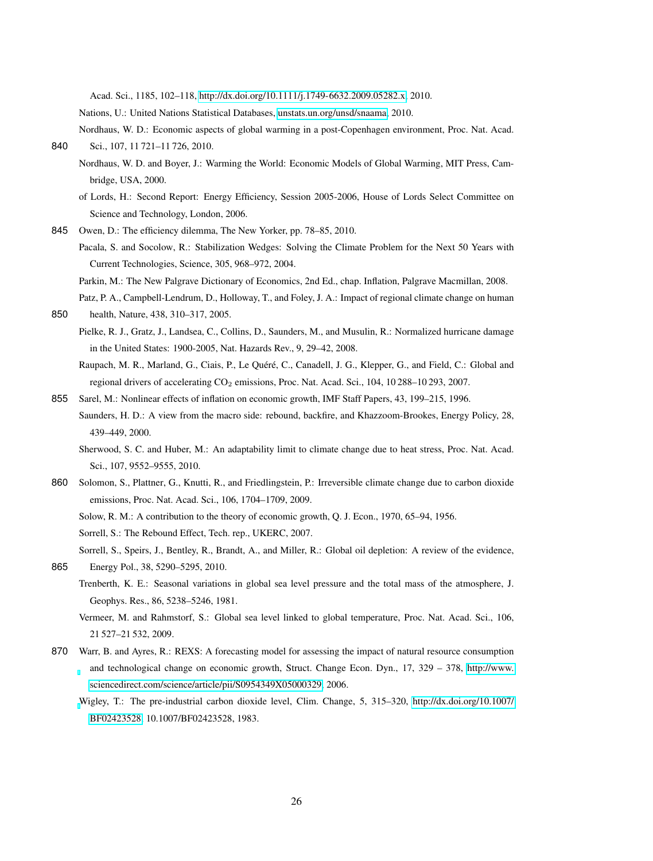Acad. Sci., 1185, 102–118, [http://dx.doi.org/10.1111/j.1749-6632.2009.05282.x,](http://dx.doi.org/10.1111/j.1749-6632.2009.05282.x) 2010.

Nations, U.: United Nations Statistical Databases, [unstats.un.org/unsd/snaama,](unstats.un.org/unsd/snaama) 2010.

<span id="page-25-8"></span><span id="page-25-5"></span><span id="page-25-4"></span>Nordhaus, W. D.: Economic aspects of global warming in a post-Copenhagen environment, Proc. Nat. Acad. 840 Sci., 107, 11 721–11 726, 2010.

- Nordhaus, W. D. and Boyer, J.: Warming the World: Economic Models of Global Warming, MIT Press, Cambridge, USA, 2000.
- <span id="page-25-12"></span>of Lords, H.: Second Report: Energy Efficiency, Session 2005-2006, House of Lords Select Committee on Science and Technology, London, 2006.
- <span id="page-25-13"></span><span id="page-25-7"></span>845 Owen, D.: The efficiency dilemma, The New Yorker, pp. 78–85, 2010.
	- Pacala, S. and Socolow, R.: Stabilization Wedges: Solving the Climate Problem for the Next 50 Years with Current Technologies, Science, 305, 968–972, 2004.

<span id="page-25-14"></span>Parkin, M.: The New Palgrave Dictionary of Economics, 2nd Ed., chap. Inflation, Palgrave Macmillan, 2008.

- Patz, P. A., Campbell-Lendrum, D., Holloway, T., and Foley, J. A.: Impact of regional climate change on human
- <span id="page-25-17"></span><span id="page-25-16"></span><span id="page-25-0"></span>850 health, Nature, 438, 310–317, 2005.
	- Pielke, R. J., Gratz, J., Landsea, C., Collins, D., Saunders, M., and Musulin, R.: Normalized hurricane damage in the United States: 1900-2005, Nat. Hazards Rev., 9, 29–42, 2008.
	- Raupach, M. R., Marland, G., Ciais, P., Le Quéré, C., Canadell, J. G., Klepper, G., and Field, C.: Global and regional drivers of accelerating CO<sub>2</sub> emissions, Proc. Nat. Acad. Sci., 104, 10 288–10 293, 2007.
- <span id="page-25-15"></span><span id="page-25-6"></span><span id="page-25-3"></span>855 Sarel, M.: Nonlinear effects of inflation on economic growth, IMF Staff Papers, 43, 199–215, 1996. Saunders, H. D.: A view from the macro side: rebound, backfire, and Khazzoom-Brookes, Energy Policy, 28, 439–449, 2000.
	- Sherwood, S. C. and Huber, M.: An adaptability limit to climate change due to heat stress, Proc. Nat. Acad. Sci., 107, 9552–9555, 2010.
- <span id="page-25-9"></span><span id="page-25-1"></span>860 Solomon, S., Plattner, G., Knutti, R., and Friedlingstein, P.: Irreversible climate change due to carbon dioxide emissions, Proc. Nat. Acad. Sci., 106, 1704–1709, 2009. Solow, R. M.: A contribution to the theory of economic growth, Q. J. Econ., 1970, 65–94, 1956. Sorrell, S.: The Rebound Effect, Tech. rep., UKERC, 2007.

<span id="page-25-19"></span><span id="page-25-11"></span>Sorrell, S., Speirs, J., Bentley, R., Brandt, A., and Miller, R.: Global oil depletion: A review of the evidence, 865 Energy Pol., 38, 5290–5295, 2010.

- <span id="page-25-18"></span><span id="page-25-2"></span>Trenberth, K. E.: Seasonal variations in global sea level pressure and the total mass of the atmosphere, J. Geophys. Res., 86, 5238–5246, 1981.
	- Vermeer, M. and Rahmstorf, S.: Global sea level linked to global temperature, Proc. Nat. Acad. Sci., 106, 21 527–21 532, 2009.
- <span id="page-25-20"></span><span id="page-25-10"></span>870 Warr, B. and Ayres, R.: REXS: A forecasting model for assessing the impact of natural resource consumption and technological change on economic growth, Struct. Change Econ. Dyn., 17, 329 – 378, [http://www.](http://www.sciencedirect.com/science/article/pii/S0954349X05000329) [sciencedirect.com/science/article/pii/S0954349X05000329,](http://www.sciencedirect.com/science/article/pii/S0954349X05000329) 2006.
	- [W](http://dx.doi.org/10.1007/BF02423528)igley, T.: The pre-industrial carbon dioxide level, Clim. Change, 5, 315–320, [http://dx.doi.org/10.1007/](http://dx.doi.org/10.1007/BF02423528) [BF02423528,](http://dx.doi.org/10.1007/BF02423528) 10.1007/BF02423528, 1983.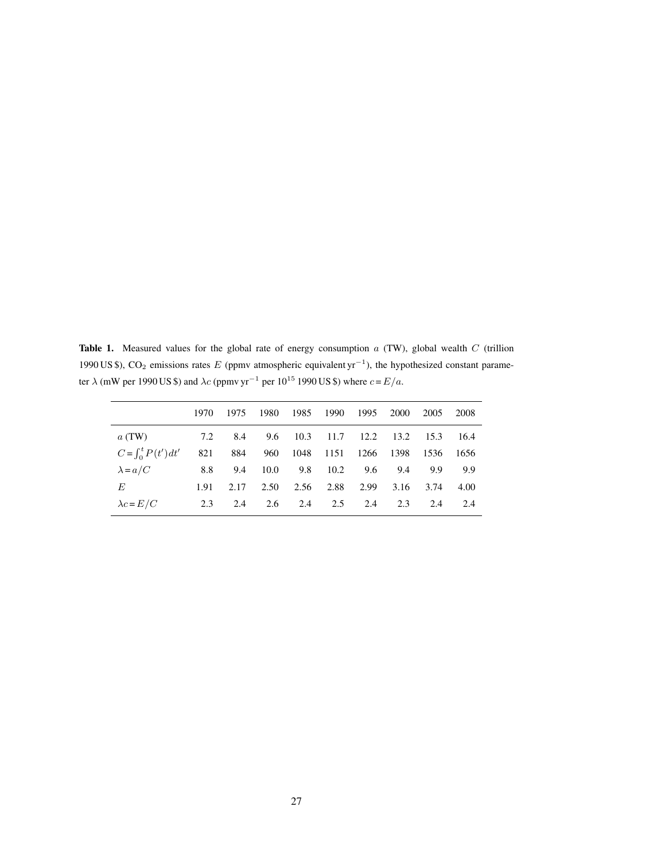<span id="page-26-0"></span>Table 1. Measured values for the global rate of energy consumption  $a$  (TW), global wealth  $C$  (trillion 1990 US \$), CO<sub>2</sub> emissions rates E (ppmv atmospheric equivalent yr<sup>-1</sup>), the hypothesized constant parameter  $\lambda$  (mW per 1990 US \$) and  $\lambda c$  (ppmv yr<sup>-1</sup> per 10<sup>15</sup> 1990 US \$) where  $c = E/a$ .

|                          | 1970 | 1975 | 1980          | 1985 1990               |     | 1995    | 2000                | 2005      | 2008 |
|--------------------------|------|------|---------------|-------------------------|-----|---------|---------------------|-----------|------|
| a(TW)                    | 7.2  | -8.4 | 9.6 10.3 11.7 |                         |     |         | 12.2 13.2 15.3 16.4 |           |      |
| $C = \int_0^t P(t') dt'$ | 821  | 884  |               | 960 1048 1151 1266 1398 |     |         |                     | 1536 1656 |      |
| $\lambda = a/C$          | 8.8  | 9.4  | 10.0          | $9.8$ 10.2              |     | 9.6 9.4 |                     | 9.9       | 9.9  |
| E                        | 1.91 | 2.17 | 2.50          | 2.56 2.88               |     | 2.99    |                     | 3.16 3.74 | 4.00 |
| $\lambda c = E/C$        | 2.3  | 2.4  |               | 2.6 2.4                 | 2.5 | 2.4     | 2.3                 | 2.4       | 2.4  |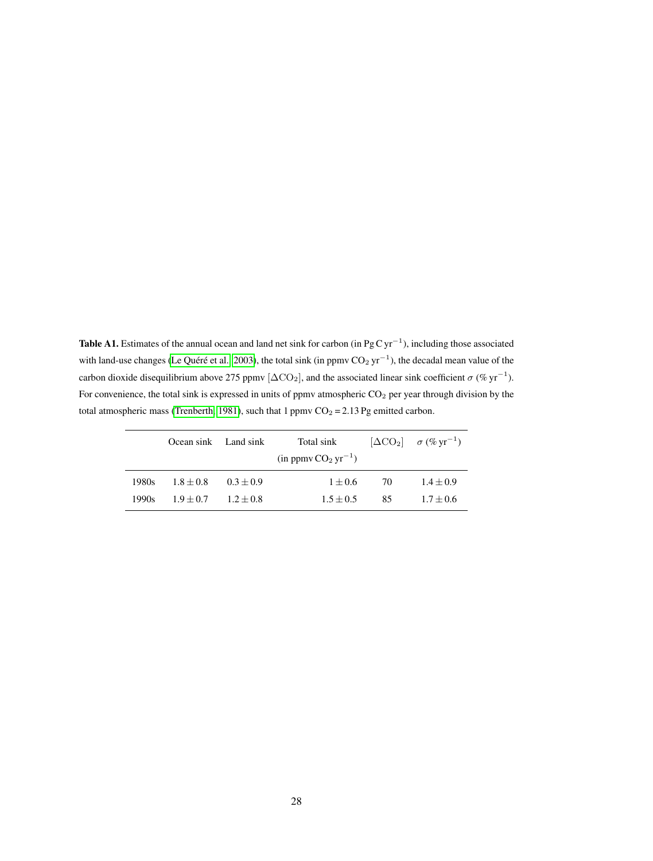Table A1. Estimates of the annual ocean and land net sink for carbon (in Pg C yr<sup>-1</sup>), including those associated with land-use changes (Le Quéré et al., [2003\)](#page-24-13), the total sink (in ppmv  $CO_2 \text{ yr}^{-1}$ ), the decadal mean value of the carbon dioxide disequilibrium above 275 ppmv [ $\Delta CO_2$ ], and the associated linear sink coefficient  $\sigma$  (% yr<sup>-1</sup>). For convenience, the total sink is expressed in units of ppmv atmospheric CO<sub>2</sub> per year through division by the total atmospheric mass [\(Trenberth, 1981\)](#page-25-18), such that 1 ppmv  $CO_2 = 2.13$  Pg emitted carbon.

|       | Ocean sink Land sink    |               | Total sink<br>$(in ppmv CO2 yr-1)$ |     | $[\Delta CO_2]$ $\sigma$ (% yr <sup>-1</sup> ) |
|-------|-------------------------|---------------|------------------------------------|-----|------------------------------------------------|
| 1980s | $1.8 + 0.8$             | $0.3 \pm 0.9$ | $1 \pm 0.6$                        | -70 | $1.4 \pm 0.9$                                  |
| 1990s | $1.9 + 0.7$ $1.2 + 0.8$ |               | $1.5 + 0.5$                        | 85  | $1.7 + 0.6$                                    |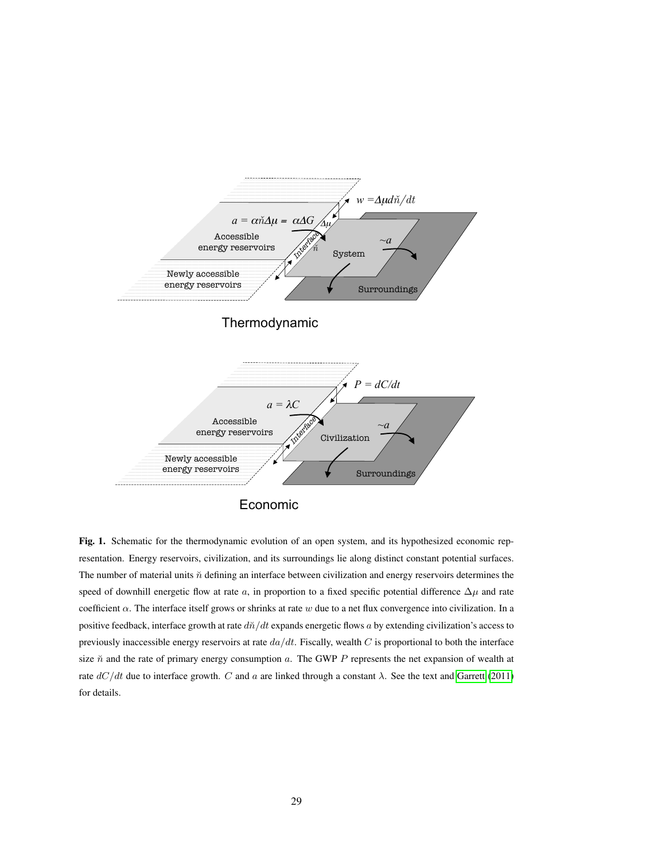

<span id="page-28-0"></span>Fig. 1. Schematic for the thermodynamic evolution of an open system, and its hypothesized economic representation. Energy reservoirs, civilization, and its surroundings lie along distinct constant potential surfaces. The number of material units  $\check{n}$  defining an interface between civilization and energy reservoirs determines the speed of downhill energetic flow at rate a, in proportion to a fixed specific potential difference  $\Delta\mu$  and rate coefficient  $\alpha$ . The interface itself grows or shrinks at rate w due to a net flux convergence into civilization. In a positive feedback, interface growth at rate  $d\tilde{n}/dt$  expands energetic flows a by extending civilization's access to previously inaccessible energy reservoirs at rate  $da/dt$ . Fiscally, wealth C is proportional to both the interface size  $\check{n}$  and the rate of primary energy consumption  $a$ . The GWP P represents the net expansion of wealth at rate  $dC/dt$  due to interface growth. C and a are linked through a constant  $\lambda$ . See the text and [Garrett](#page-23-0) [\(2011\)](#page-23-0) for details.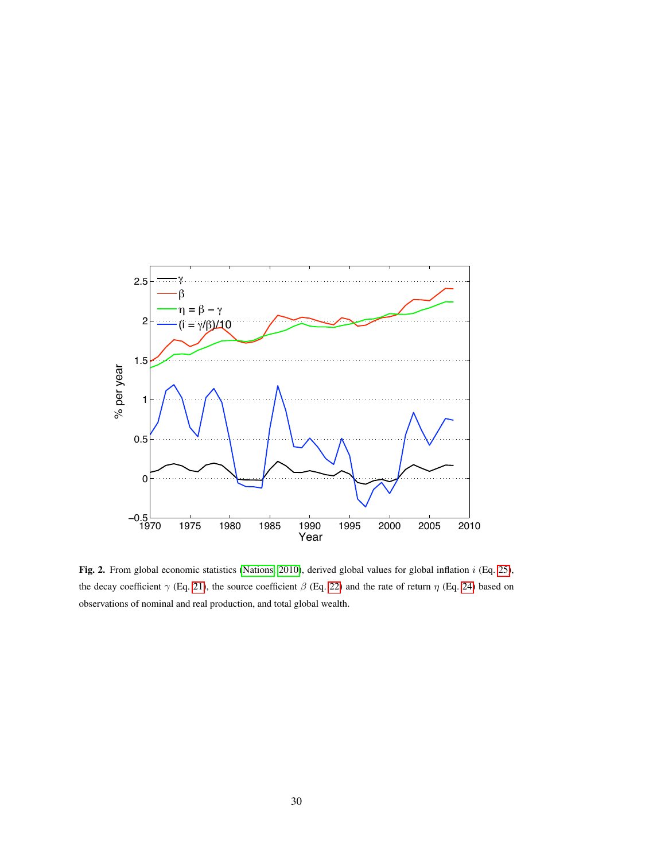

<span id="page-29-0"></span>Fig. 2. From global economic statistics [\(Nations, 2010\)](#page-25-8), derived global values for global inflation  $i$  (Eq. [25\)](#page-11-2), the decay coefficient  $\gamma$  (Eq. [21\)](#page-11-6), the source coefficient  $\beta$  (Eq. [22\)](#page-11-5) and the rate of return  $\eta$  (Eq. [24\)](#page-11-4) based on observations of nominal and real production, and total global wealth.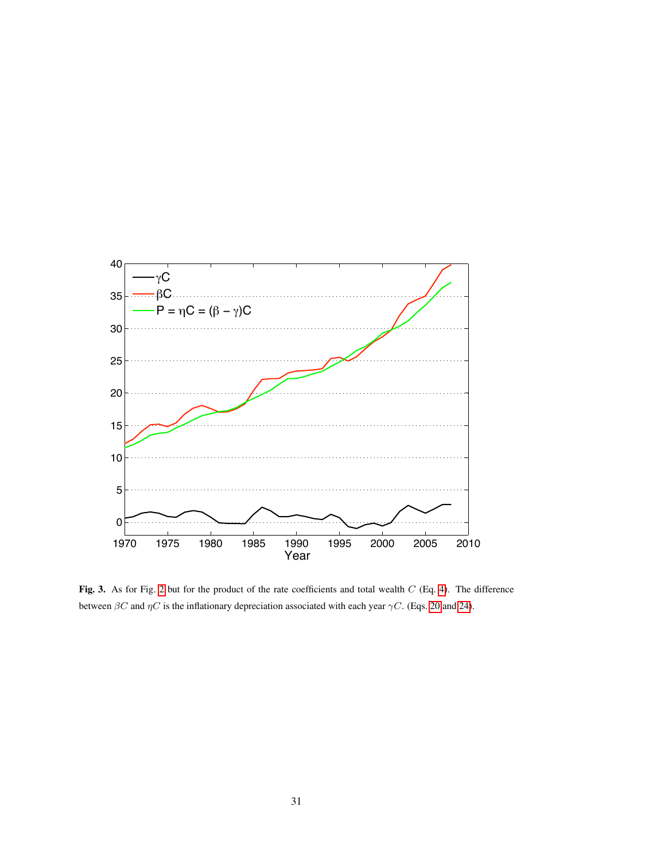

<span id="page-30-0"></span>Fig. 3. As for Fig. [2](#page-29-0) but for the product of the rate coefficients and total wealth C (Eq. [4\)](#page-3-2). The difference between  $\beta C$  and  $\eta C$  is the inflationary depreciation associated with each year  $\gamma C$ . (Eqs. [20](#page-11-0) and [24\)](#page-11-4).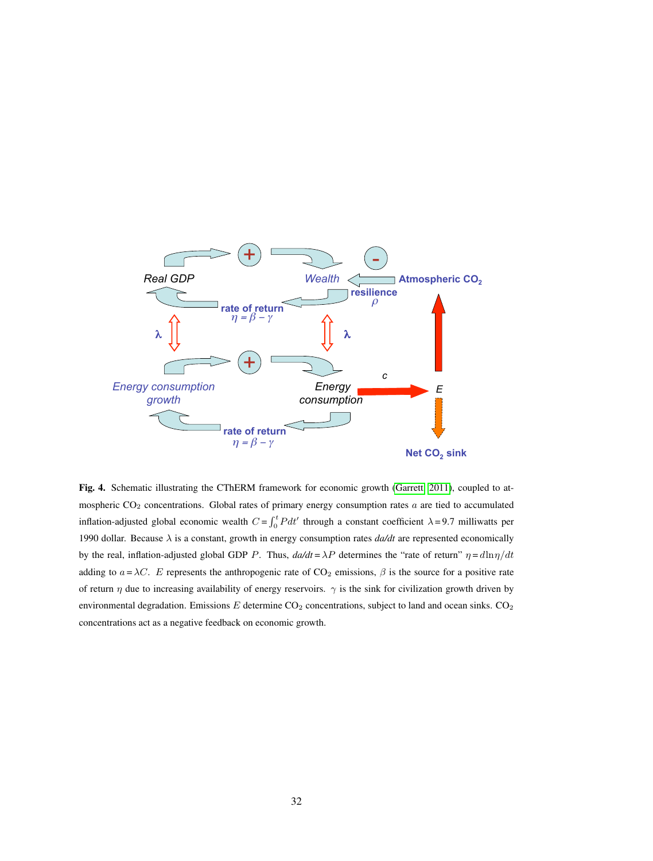

<span id="page-31-0"></span>Fig. 4. Schematic illustrating the CThERM framework for economic growth [\(Garrett, 2011\)](#page-23-0), coupled to atmospheric  $CO<sub>2</sub>$  concentrations. Global rates of primary energy consumption rates  $a$  are tied to accumulated inflation-adjusted global economic wealth  $C = \int_0^t P dt'$  through a constant coefficient  $\lambda = 9.7$  milliwatts per 1990 dollar. Because  $\lambda$  is a constant, growth in energy consumption rates  $da/dt$  are represented economically by the real, inflation-adjusted global GDP P. Thus,  $d\alpha/dt = \lambda P$  determines the "rate of return"  $\eta = d\ln \eta/dt$ adding to  $a = \lambda C$ . E represents the anthropogenic rate of CO<sub>2</sub> emissions,  $\beta$  is the source for a positive rate of return  $\eta$  due to increasing availability of energy reservoirs.  $\gamma$  is the sink for civilization growth driven by environmental degradation. Emissions  $E$  determine CO<sub>2</sub> concentrations, subject to land and ocean sinks. CO<sub>2</sub> concentrations act as a negative feedback on economic growth.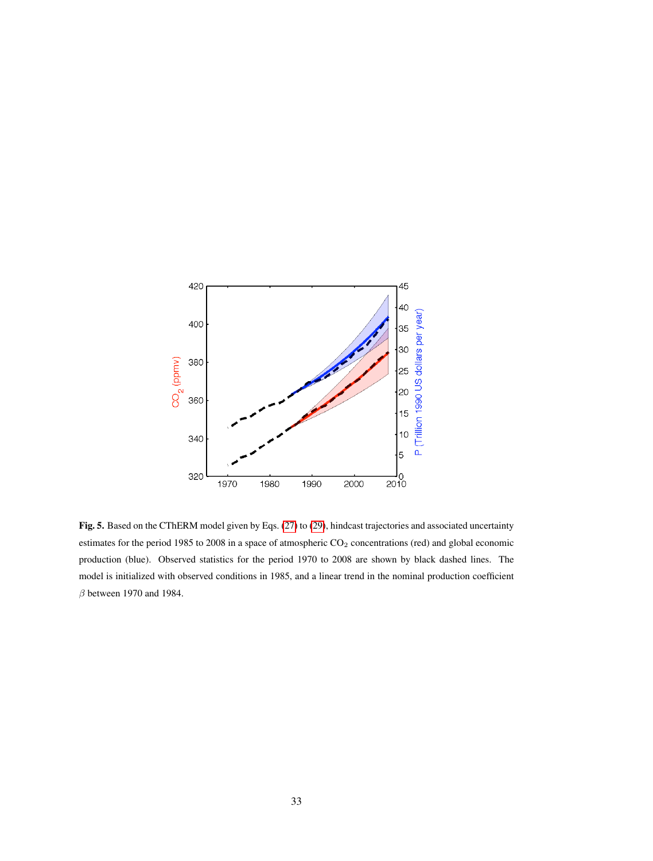

<span id="page-32-0"></span>Fig. 5. Based on the CThERM model given by Eqs. [\(27\)](#page-14-0) to [\(29\)](#page-14-1), hindcast trajectories and associated uncertainty estimates for the period 1985 to 2008 in a space of atmospheric CO<sub>2</sub> concentrations (red) and global economic production (blue). Observed statistics for the period 1970 to 2008 are shown by black dashed lines. The model is initialized with observed conditions in 1985, and a linear trend in the nominal production coefficient  $\beta$  between 1970 and 1984.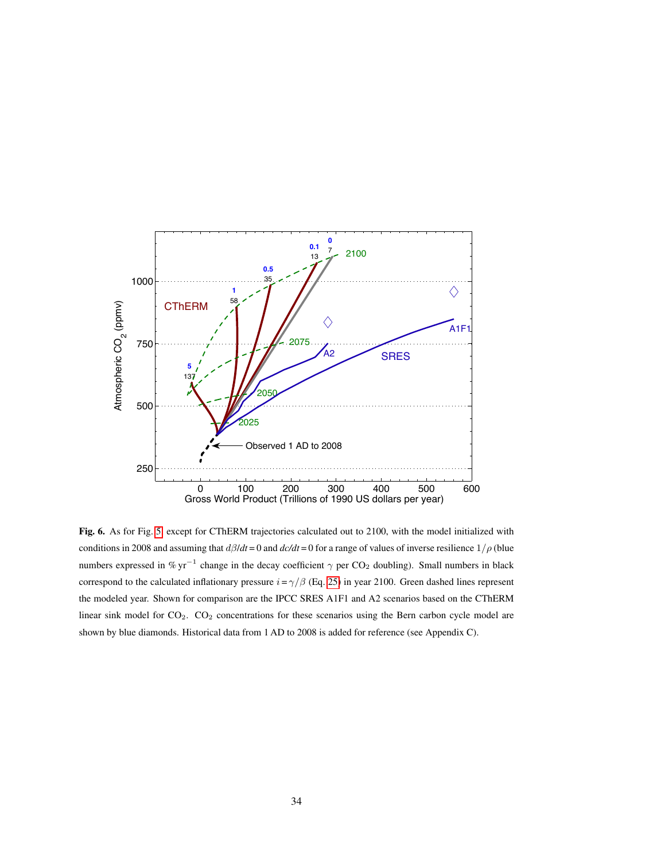

<span id="page-33-0"></span>Fig. 6. As for Fig. [5,](#page-32-0) except for CThERM trajectories calculated out to 2100, with the model initialized with conditions in 2008 and assuming that  $d\beta/dt = 0$  and  $d\alpha/dt = 0$  for a range of values of inverse resilience  $1/\rho$  (blue numbers expressed in % yr<sup>-1</sup> change in the decay coefficient  $\gamma$  per CO<sub>2</sub> doubling). Small numbers in black correspond to the calculated inflationary pressure  $i = \gamma/\beta$  (Eq. [25\)](#page-11-2) in year 2100. Green dashed lines represent the modeled year. Shown for comparison are the IPCC SRES A1F1 and A2 scenarios based on the CThERM linear sink model for CO<sub>2</sub>. CO<sub>2</sub> concentrations for these scenarios using the Bern carbon cycle model are shown by blue diamonds. Historical data from 1 AD to 2008 is added for reference (see Appendix C).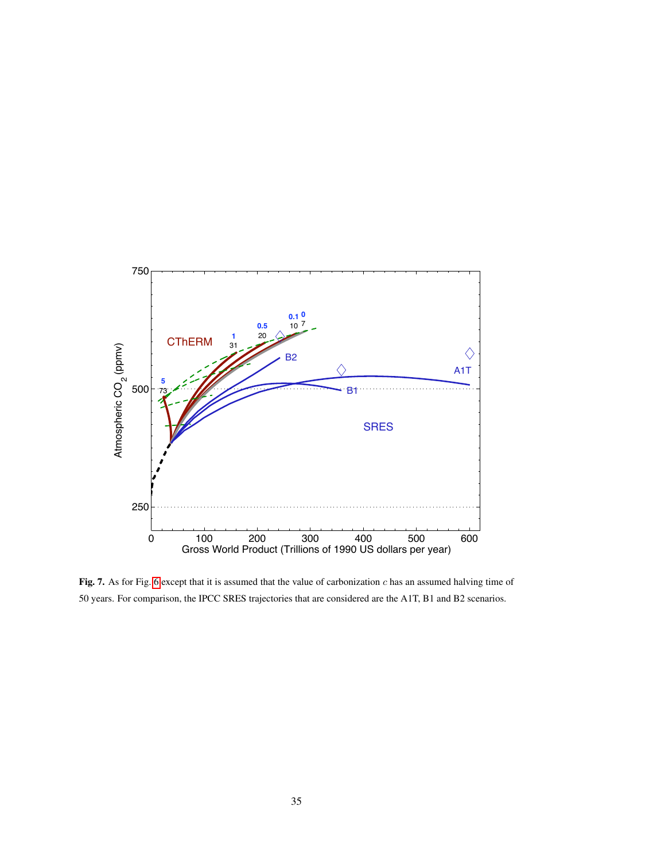

<span id="page-34-0"></span>Fig. 7. As for Fig. [6](#page-33-0) except that it is assumed that the value of carbonization c has an assumed halving time of 50 years. For comparison, the IPCC SRES trajectories that are considered are the A1T, B1 and B2 scenarios.